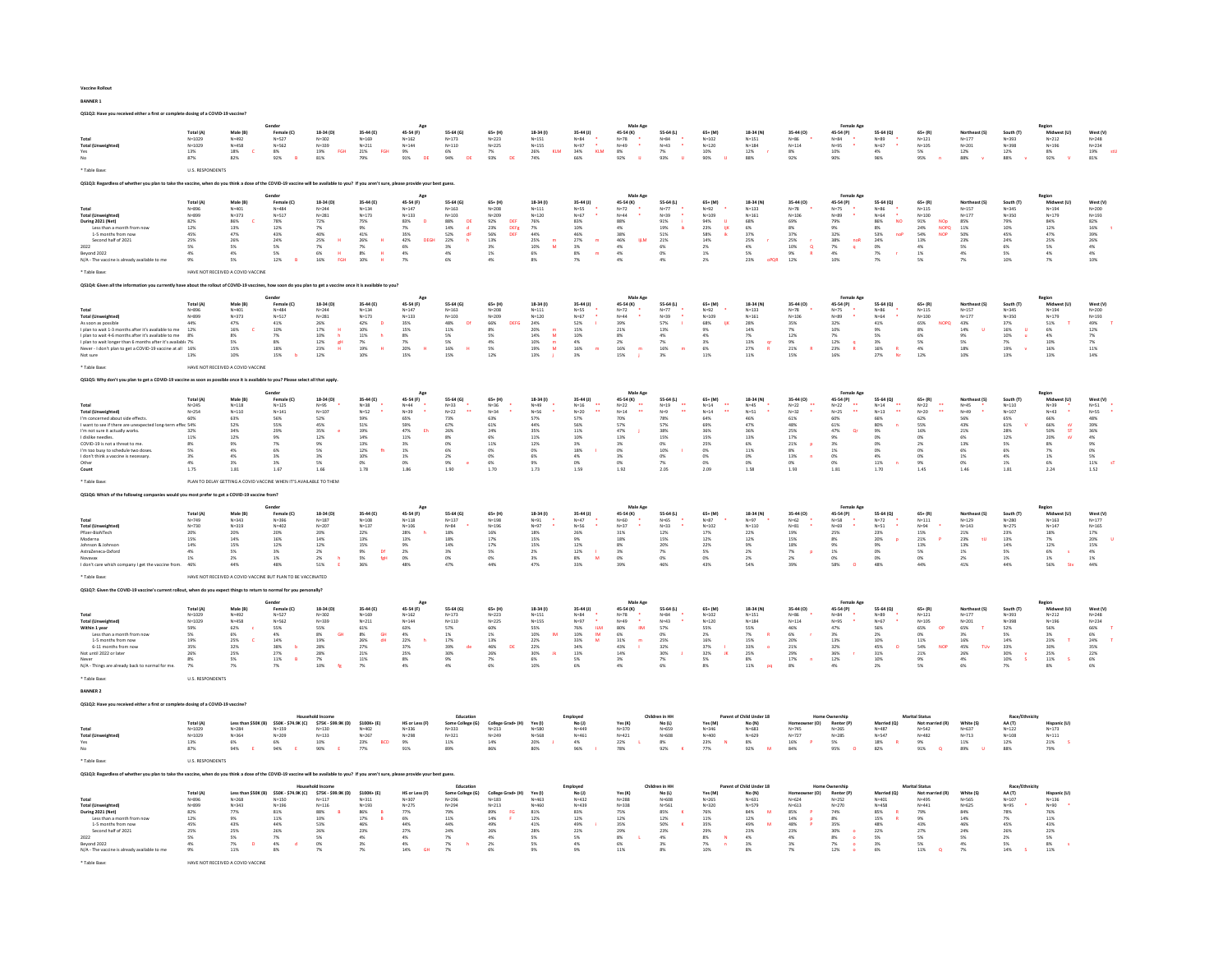#### Vaccine Rollout

BANNER 1

QS1Q2: Have you received either a first or complete dosing of a COVID-19 vaccine? Total (A) Male (B) Female (C) 18-34 (D) 35-44 (E) 45-54 (F) 55-64 (G) 65+ (H) 18-34 (I) 35-44 (J) 45-54 (K) 55-64 (L) 65+ (M) 18-34 (N) 35-44 (O) 45-54 (P) 55-64 (Q) 65+ (R) Northeast (S) South (T) Midwest (U) West (V) Total N=1029 N=492 N=527 N=302 N=169 N=162 N=173 N=223 N=151 N=84 \* N=78 \* N=84 \* N=102 N=151 N=86 \* N=84 \* N=89 \* N=121 N=177 N=393 N=212 N=248 Total (Unweighted) N=1029 N=458 N=562 N=339 N=211 N=144 N=110 N=225 N=155 N=97 \* N=49 \* N=43 \* N=120 N=184 N=114 N=95 \* N=67 \* N=105 N=201 N=398 N=196 N=234 Yes 13% 18% C 8% 19% FGH 21% FGH 9% 6% 7% 26% KLM 34% KLM 8% 7% 10% 12% r 8% 10% 4% 5% 12% 12% 8% 19% stU No 87% 82% 92% B 81% 79% 91% DE 94% DE 93% DE 74% 66% 92% IJ 93% IJ 90% IJ 88% 92% 90% 96% 95% n 88% v 88% v 92% V 81% \* Table Base: U.S. RESPO QS1Q3: Regardless of whether you plan to take the vaccine, when do you think a dose of the COVID-19 vaccine will be available to you? If you aren't sure, please provide your best guess. Total (A) Male (B) Female (C) 18-34 (D) 35-44 (E) 45-54 (F) 55-64 (G) 65+ (H) 18-34 (I) 35-44 (J) 45-54 (K) 55-64 (L) 65+ (M) 18-34 (N) 35-44 (O) 45-54 (P) 55-64 (Q) 65+ (R) Northeast (S) South (T) Midwest (U) West (V) Total N=896 N=401 N=484 N=244 N=134 N=147 N=163 N=208 N=111 N=55 \* N=72 \* N=77 \* N=92 \* N=133 N=78 \* N=75 \* N=86 \* N=115 N=157 N=345 N=194 N=200 Total (Unweighted) N=899 N=373 N=517 N=281 N=173 N=133 N=103 N=209 N=120 N=67 \* N=44 \* N=39 \* N=109 N=161 N=106 N=89 \* N=64 \* N=100 N=177 N=350 N=179 N=193 During 2021 (Net) 82% 86% C 78% 72% 75% 83% D 88% DE 92% DEF 76% 83% 88% 91% i 94% IJ 68% 69% 79% 86% NO 91% NOp 85% 79% 84% 82% Less than a month from now 12% 13% 12% 7% 9% 7% 14% d 23% DEFg 7% 10% 4% 19% ik 23% IjK 6% 8% 9% 8% 24% NOPQ 11% 10% 12% 16% t 1-5 months from now 45% 47% 43% 40% 41% 35% 52% dF 56% DEF 44% 46% 38% 51% 58% ik 37% 37% 32% 53% noP 54% NOP 50% 45% 47% 39% Second half of 2021 25% 26% 26% H 26% H 42% DEGH 22% h 13% 25% m 27% m 46% IjLM 21% 14% 25% r 38% noR 24% 13% 24% 25% 26% 26% 26% 2022 5% 5% 5% 7% 7% 6% 3% 3% 10% M 3% 4% 6% 2% 4% 10% Q 7% q 0% 4% 5% 6% 5% 4% Beyond 2022 4% 4% 5% 6% H 8% H 4% 4% 1% 6% 8% m 4% 0% 1% 5% 9% R 4% 7% r 1% 4% 5% 4% 4% N/A - The vaccine is already available to me 9% 5% 12% B 16% FGH 10% H 7% 6% 4% 8% 7% 4% 4% 2% 23% oPQR 12% 10% 7% 5% 7% 10% 7% 10% **HAVE NOT RE** QS1Q4: Given all the information you currently have about the rollout of COVID-19 vaccines, how soon do you plan to get a vaccine once it is available to you? Total (A) Male (B) Female (C) 18-34 (D) 35-44 (E) 45-54 (F) 55-64 (G) 65+ (H) 18-34 (I) 35-44 (J) 45-54 (K) 55-64 (L) 65+ (M) 18-34 (N) 35-44 (O) 45-54 (P) 55-64 (Q) 65+ (R) Northeast (S) South (T) Midwest (U) West (V) Total N=896 N=401 N=484 N=244 N=134 N=147 N=163 N=208 N=111 N=55 \* N=72 \* N=77 \* N=92 \* N=133 N=78 \* N=75 \* N=86 \* N=115 N=157 N=345 N=194 N=200 Total (Unweighted) N=899 N=373 N=517 N=281 N=173 N=133 N=103 N=209 N=120 N=67 \* N=44 \* N=39 \* N=109 N=161 N=106 N=89 \* N=64 \* N=100 N=177 N=350 N=179 N=193 As soon as possible 44% 47% 41% 26% 42% D 35% 48% Df 66% DEFG 24% 52% I 39% 57% I 68% IjK 28% 35% 32% 41% 65% NOPQ 43% 37% 51% T 49% T I plan to wait 1-3 months after it's available to me 12% 16% C 10% 17% H 10% 15% 11% 8% 20% m 15% 21% 13% 9% 14% 7% 10% 9% 8% 14% U 16% U 6% 12% I plan to wait 4-6 months after it's available to me 8% 8% 7% 10% h 11% h 8% 5% 5% 14% M 10% 8% 4% 4% 7% 12% 7% 5% 6% 9% 10% u 4% 7% I plan to wait longer than 6 months after it's available to me 7% 5% 8% 12% gH 7% 7% 5% 4% 10% m 4% 2% 7% 3% 13% qr 9% 12% q 3% 5% 5% 7% 10% 7% Never - I don't plan to get a COVID-19 vaccine at all 16% 15% 18% 23% H 19% H 20% H 16% H 5% 19% M 16% m 16% m 16% m 6% 27% R 21% R 23% R 16% R 4% 18% 19% v 16% 11% Not sure 13% 10% 15% b 12% 10% 15% 15% 12% 13% j 3% 15% j 3% 11% 11% 15% 16% 27% Nr 12% 10% 13% 13% 14% \* Table Base: HAVE NOT RECEIVED A COVID VACCINE QS1Q5: Why don't you plan to get a COVID-19 vaccine as soon as possible once it is available to you? Please select all that apply. Total (A) Male (B) Female (C) 18-34 (D) 35-44 (E) 45-54 (F) 55-64 (G) 65+ (H) 18-34 (I) 35-44 (J) 45-54 (K) 55-64 (L) 65+ (M) 18-34 (N) 35-44 (O) 45-54 (P) 55-64 (Q) 65+ (R) Northeast (S) South (T) Midwest (U) West (V) Total N=245 N=118 N=125 N=95 \* N=38 \* N=44 \* N=33 \* N=36 \* N=49 \* N=16 \*\* N=22 \*\* N=19 \*\* N=14 \*\* N=45 \* N=22 \*\* N=22 \*\* N=14 \*\* N=22 \*\* N=45 \* N=110 N=39 \* N=51 \* Total (Unweighted) N=254 N=110 N=141 N=107 N=52 \* N=39 \* N=22 \*\* N=34 \* N=56 \* N=20 \*\* N=14 \*\* N=9 \*\* N=14 \*\* N=51 \* N=32 \* N=25 \*\* N=13 \*\* N=20 \*\* N=49 \* N=107 N=43 \* N=55 \* I'm concerned about side effects. 60% 63% 56% 52% 59% 65% 73% 63% 57% 57% 70% 78% 64% 46% 61% 60% 66% 62% 56% 65% 66% 48% I want to see if there are unexpected long-term effects. 54% 52% 55% 45% 51% 59% 67% 61% 44% 56% 57% 57% 69% 47% 48% 61% 80% n 55% 43% 61% V 66% sV 39% I'm not sure it actually works. 32% 34% 29% 35% e 19% 47% Eh 26% 24% 35% 11% 47% j 38% 36% 36% 25% 47% Qr 9% 16% 21% 28% 50% ST 36% I dislike needles. 11% 12% 9% 12% 14% 11% 8% 6% 11% 10% 13% 15% 15% 13% 17% 9% 0% 0% 6% 12% 20% sV 4% COVID-19 is not a threat to me. 8% 9% 7% 9% 13% 3% 0% 11% 12% 3% 3% 0% 25% 6% 21% p 3% 0% 2% 13% 5% 8% 9% I'm too busy to schedule two doses. 5% 4% 6% 5% 12% fh 1% 6% 0% 0% 18% I 0% 10% I 0% 11% 8% 1% 0% 0% 6% 6% 7% 0% I don't think a vaccine is necessary. 3% 4% 3% 3% 10% 1% 2% 0% 6% 4% 3% 0% 0% 0% 13% n 0% 4% 0% 1% 4% 1% 5% Other 4% 3% 3% 5% 0% 0% 9% e 6% 9% 0% 0% 7% 0% 0% 0% 0% 11% n 9% 0% 1% 6% 11% sT Count 1.75 1.81 1.67 1.66 1.78 1.86 1.90 1.70 1.73 1.59 1.92 2.05 2.09 1.58 1.93 1.81 1.70 1.45 1.46 1.81 2.24 1.52 .<br>PLAN TO DELAY QS1Q6: Which of the following companies would you most prefer to get a COVID-19 vaccine from? Total (A) Male (B) Female (C) 18-34 (D) 35-44 (E) 45-54 (F) 55-64 (G) 65+ (H) 18-34 (I) 35-44 (J) 45-54 (K) 55-64 (L) 65+ (M) 18-34 (N) 35-44 (O) 45-54 (P) 55-64 (Q) 65+ (R) Northeast (S) South (T) Midwest (U) West (V) Total N=749 N=343 N=396 N=187 N=108 N=118 N=137 N=198 N=91 \* N=47 \* N=60 \* N=65 \* N=87 \* N=97 \* N=62 \* N=58 \* N=72 \* N=111 N=129 N=280 N=163 N=177 Total (Unweighted) N=730 N=319 N=402 N=207 N=137 N=106 N=84 \* N=196 N=97 \* N=56 \* N=37 \* N=33 \* N=102 N=110 N=81 \* N=69 \* N=51 \* N=94 \* N=143 N=275 N=147 N=165 Pfizer-BioNTech 20% 20% 20% 20% 22% 28% h 18% 16% 18% 26% 31% 12% 17% 22% 19% 25% 23% 15% 21% 23% 18% 17% Moderna 15% 14% 16% 14% 13% 13% 18% 17% 15% 9% 18% 15% 12% 12% 15% 8% 20% p 21% P 23% tU 13% 7% 20% U Johnson & Johnson 14% 15% 12% 12% 15% 9% 14% 17% 15% 12% 8% 20% 22% 9% 18% 9% 9% 13% 13% 14% 12% 15% AstraZeneca-Oxford 4% 5% 3% 2% 9% Df 2% 3% 5% 2% 12% I 3% 7% 5% 2% 7% p 1% 0% 5% 1% 5% 6% s 4% Novavax 1% 2% 1% 2% h 5% fgH 0% 0% 0% 3% 8% M 0% 0% 0% 2% 2% 0% 0% 0% 2% 1% 1% 1% I don't care which company I get the vaccine from. 46% 44% 48% 51% E 36% 48% 47% 44% 47% 33% 39% 46% 43% 54% 39% 58% O 48% 44% 41% 44% 56% Stv 44% HAVE NOT RECEIVED A COVID V QS1Q7: Given the COVID-19 vaccine's current rollout, when do you expect things to return to normal for you personally? Total (A) Male (B) Female (C) 18-34 (D) 35-44 (E) 45-54 (F) 55-64 (G) 65+ (H) 18-34 (I) 35-44 (J) 45-54 (K) 55-64 (L) 65+ (M) 18-34 (N) 35-44 (O) 45-54 (P) 55-64 (Q) 65+ (R) Northeast (S) South (T) Midwest (U) West (V) Total N=1029 N=492 N=527 N=302 N=169 N=162 N=173 N=223 N=151 N=84 \* N=78 \* N=84 \* N=102 N=151 N=86 \* N=84 \* N=89 \* N=121 N=177 N=393 N=212 N=248 Total (Unweighted) N=1029 N=458 N=562 N=339 N=211 N=144 N=110 N=225 N=155 N=97 \* N=49 \* N=43 \* N=120 N=184 N=114 N=95 \* N=67 \* N=105 N=201 N=398 N=196 N=234 Within 1 year 59% 62% c 55% 55% 61% 63% 57% 60% 55% 76% ILM 80% IlM 57% 55% 55% 46% 47% 56% 65% OP 65% T 52% 56% 66% T Less than a month from now 5% 6% 4% 8% GH 8% GH 4% 1% 1% 10% lM 10% lM 6% 0% 2% 7% R 6% r 3% 2% 0% 3% 5% 3% 6% 1-5 months from now 19% 25% C 14% 19% 26% dH 22% h 17% 13% 22% 33% M 31% m 25% 16% 15% 20% 13% 10% 11% 16% 14% 23% T 24% T 6-11 months from now 35% 32% 38% b 28% 27% 37% 39% de 46% DE 22% 34% 43% I 32% 37% I 33% o 21% 32% 45% O 54% NOP 45% TUv 33% 30% 35% Not until 2022 or later 26% 25% 27% 28% 21% 25% 30% 26% 30% Jk 13% 14% 30% J 32% JK 25% 29% 36% r 31% 21% 26% 30% v 25% 22% Never 8% 5% 11% B 7% 11% 8% 9% 7% 6% 5% 3% 7% 5% 8% 17% n 12% 10% 9% 4% 10% S 11% S 6% N/A - Things are already back to normal for me. 7% 7% 7% 10% fg 7% 4% 4% 6% 10% 6% 4% 6% 8% 11% pq 8% 4% 2% 5% 6% 7% 8% 6% U.S. RESPONDENT BANNER 2 QS1Q2: Have you received either a first or complete dosing of a COVID-19 vaccine? Total (A) Less than \$50K (B) \$50K - \$74.9K (C) \$75K - \$99.9K (D) \$100K+ (E) HS or cess (F) Some College (G) College Grad+ (H) Yes (I) No (J) Yes (K) No (L) Yes (M) No (N) Homowwner (O) Renter (P) Married (Q) Not married (R Total N=1029 N=284 N=159 N=130 N=402 N=336 N=333 N=213 N=580 N=449 N=370 N=659 N=346 N=683 N=745 N=265 N=487 N=542 N=637 N=122 N=173 Total (Unweighted) N=1029 N=364 N=209 N=133 N=267 N=298 N=321 N=249 N=568 N=461 N=421 N=608 N=400 N=629 N=727 N=285 N=547 N=482 N=713 N=108 N=111 Yes 13% 6% 6% 10% 23% BCD 9% 11% 14% 20% J 4% 22% L 8% 23% N 8% 16% P 5% 18% R 9% 11% 12% 21% S No 87% 94% E 94% E 90% E 77% 91% 89% 86% 80% 96% I 78% 92% K 77% 92% M 84% 95% O 82% 91% Q 89% U 88% 79% U.S. RESPONDENTS QS1Q3: Regardless of whether you plan to take the vaccine, when do you think a dose of the COVID-19 vaccine will be available to you? If you aren't sure, please provide your best guess. Textal Texts (N. 2014) Less Sons, 2016, 2018, 2018, 2018, 2018, 2018, 2018, 2018, 2018, 2018, 2018, 2018, 2019, 2018, 2019, 2019, 2019, 2019, 2019, 2019, 2019, 2019, 2019, 2019, 2019, 2019, 2019, 2019, 2019, 2019, 2019, 2 Education Employed Children in HH Parent of Child Under 18 Home Ownership Marital Status Race/Ethnicity Cender<br>Female (C)<br>N=124<br>S6%<br>S3%<br>29%<br>26%<br>7%<br>6%<br>3%<br>3%<br>1.67 Age<br>
45-54 (F)<br>
N=147<br>
N=133<br>
83%<br>
23%<br>
25%<br>
42%<br>
46%<br>
4%<br>
7% Household Income<br>Household Income Education (Education College Grade Hotel World) Yes (N) North Monda Homeowner (O) Renter (P) Mormicle(Q) World (Q) World A4.11)<br>N-139 N-130 N-420 N-215 N-133 N-132 N-249 N-500 N-449 N-213 Household Income Gender<br>Female (C)<br>N=527<br>N=562<br>S5%<br>4%<br>4%<br>14%<br>27%<br>11%<br>B Female Age<br>
45-54 (P)<br>  $N=84$ <br>  $N=95$ <br>
10%<br>
90% Female Age<br>
45-54 (P)<br>
N=84<br>
N=95<br>
\*<br>
47%<br>
32%<br>
32%<br>
12%<br>
4%<br>
\*  $\begin{array}{l} \textbf{Age} \\ \textbf{45-54 (F)} \\ \textbf{N=44} \\ \textbf{65\%} \\ \textbf{65\%} \\ \textbf{59\%} \\ \textbf{11\%} \\ \textbf{11\%} \\ \textbf{2\%} \\ \textbf{12\%} \\ \textbf{12\%} \\ \textbf{0\%} \\ \textbf{1.86} \end{array}$ Age<br>
45-54 (F)<br>
N=162<br>
N=144<br>
63%<br>
4%<br>
22%<br>
h<br>
25%<br>
8%<br>
4%<br>
4% Region Female Age<br>
45-54 (P)<br>
N=59<br>
N=69<br>
\*<br>
25%<br>
8%<br>
9%<br>
1%<br>
0%<br>
58%<br>
0 Male Age<br>
45-54 (K)<br>  $N=78$ <br>  $N=49$ <br>
8%<br>
92% U Female Age<br>
45-54 (P)<br>
N=75<br>
N=89<br>
\*<br>
32%<br>
10%<br>
7%<br>
23%<br>
R<br>
16%<br>
16% Region<br>
Midwest (U)<br>
N=212<br>
N=196<br>
56%<br>
36%<br>
23%<br>
76%<br>
25%<br>
11%<br>
8%<br>
8% Region<br>
Midwest (U)<br>
N=212<br>
N=196<br>
8%<br>
92% V Region<br>
Midwest (U)<br>
N=194<br>
N=179<br>
5 1%<br>
5 %<br>
4%<br>
10%<br>
16%<br>
13% Male Age<br>
45-54 (K)<br>  $N=72$ <br>  $N=46$ <br>
88%<br>
46%<br>
46%<br>
4%<br>
4%<br>
4% Male Age<br>
45-54 (K)<br>  $N=78$ <br>  $N=49$ <br>  $80%$ <br>  $80%$ <br>  $31%$ <br>  $43%$ <br>  $3\%$ <br>  $4\%$ Region<br>
Midwest (U)<br>
N=194<br>
N=179<br>
84%<br>
12%<br>
12%<br>
25%<br>
5%<br>
5%<br>
7% Gender<br>Female (C)<br>N=484<br>N=517<br>41%<br>41%<br>2%<br>8%<br>8%<br>18%<br>15%<br>b Male Age Region and the Community of the Community of Terms and Age Region and Terms and Terms and Terms and Terms and Terms and Terms and Terms and Terms and Terms and Terms and Terms and Terms and Terms and Terms and Ter  $\begin{array}{l} \textbf{Female Age} \\ \textbf{45-54 (P)} \\ \textbf{N=75} \\ \textbf{N=89} \\ \textbf{79\%} \\ \textbf{32\%} \\ \textbf{33\%} \\ \textbf{38\%} \\ \textbf{4\%} \\ \textbf{10\%} \end{array}$ Male Age Male Age<br>  $45-54$  (K)<br>  $N=22$ <br>  $N=14$ <br>  $N=14$ <br>  $70%$ <br>  $57%$ <br>  $13%$ <br>  $3%$ <br>  $3%$ <br>  $0%$ <br>  $1.92$ Gender<br>Female (C)<br>N=484<br>N=517<br>78%<br>24%<br>24%<br>S%<br>5%<br>5%<br>12%<br>B ---<br>Genale (C)<br>Female (C)<br>N=402<br>20%<br>26%<br>12%<br>3%<br>48% Age<br>
45-54 (F)<br>  $N=133$ <br>  $N=133$ <br>
35%<br>
35%<br>
35%<br>
20%<br>
20%<br>
15% Female Age<br>  $45-54$  (P)<br>  $N=22$ <br>  $N=25$ <br>  $60%$ <br>  $61%$ <br>  $9%$ <br>  $3%$ <br>  $1%$ <br>  $0%$ <br>  $0%$ <br>  $1.81$ Age<br>  $45-54(f)$ <br>  $N=118$ <br>  $N=106$ <br>  $28\%$ <br>  $13\%$ <br>  $9\%$ <br>  $2\%$ <br>  $2\%$ <br>  $2\%$ Gender 19: 18-34 (b) 55-44 (k) 45-54 (k)<br>
Ne-527 Ne-329 Ne-109 Ne-162 Ne-162<br>
Ne-562 Ne-329 Ne-211 Ne-144<br>
8% B 31% 79% 91% DE<br>
82% B 31%

\* Table Base: HAVE NOT RECEIVED A COVID VACCINE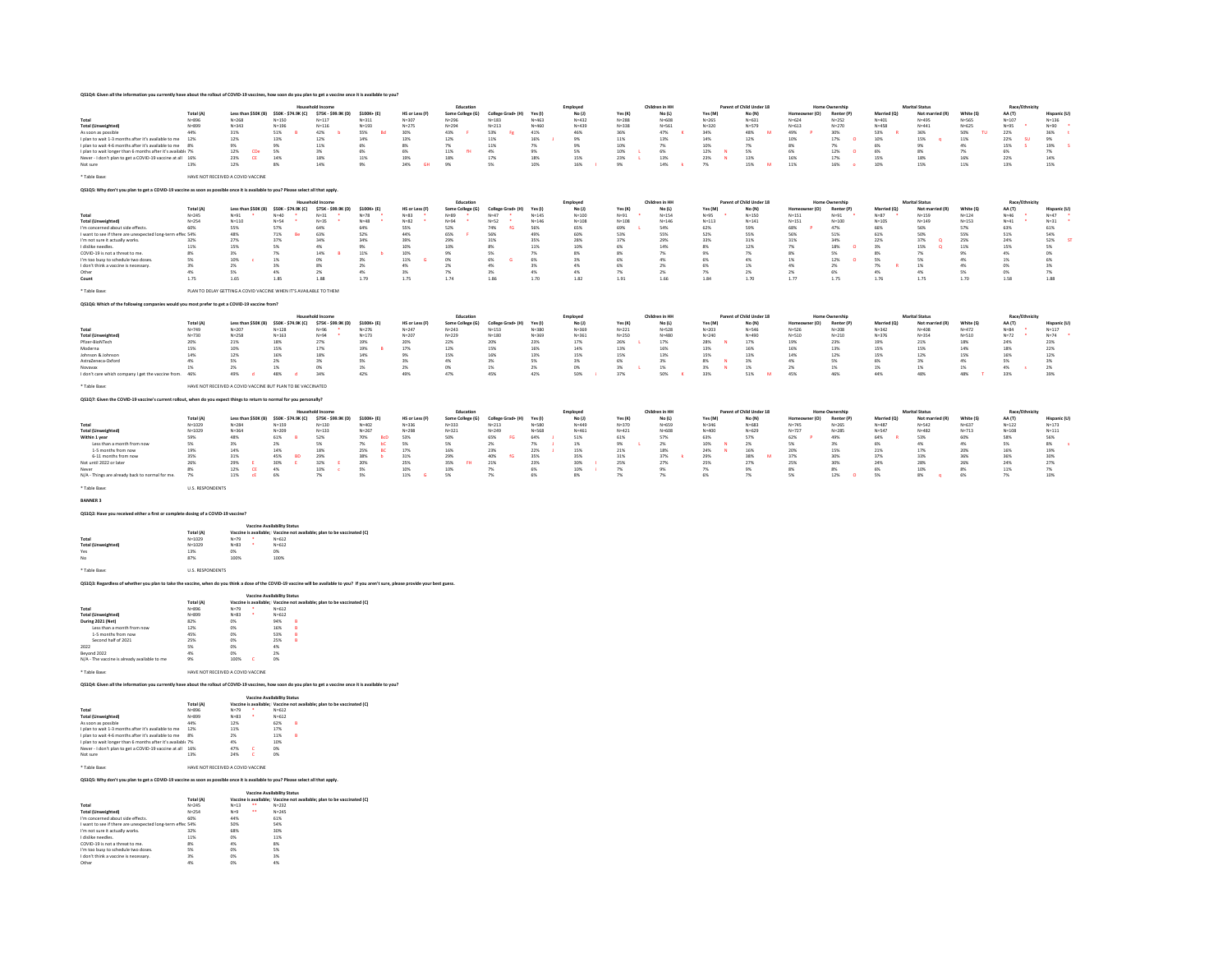| QS1Q4: Given all the info<br>ation you currently have about the rollout of COVID-19 vaccines, how soon do you plan to get a vaccine once it is available to you                          |                         |                                                                   |                                                      |                                                                        |                                   |                             |                               |                                  |                        |                         |                       |                         |                                             |                          |                        |                         |                          |                              |                        |                              |                                       |
|------------------------------------------------------------------------------------------------------------------------------------------------------------------------------------------|-------------------------|-------------------------------------------------------------------|------------------------------------------------------|------------------------------------------------------------------------|-----------------------------------|-----------------------------|-------------------------------|----------------------------------|------------------------|-------------------------|-----------------------|-------------------------|---------------------------------------------|--------------------------|------------------------|-------------------------|--------------------------|------------------------------|------------------------|------------------------------|---------------------------------------|
|                                                                                                                                                                                          |                         |                                                                   |                                                      | Household Income                                                       |                                   |                             | Education                     |                                  |                        |                         |                       | Children in HH          |                                             | Parent of Child Under 18 |                        | Home Ownershi           |                          | <b>Marital Statu</b>         |                        | <b>Race/Ethnicit</b>         |                                       |
| Total                                                                                                                                                                                    | Total (A)<br>$N = 896$  | $N = 268$                                                         | Less than \$50K (B) \$50K - \$74.9K (C)<br>$N = 150$ | \$75K - \$99.9K (D)<br>$N = 117$                                       | \$100K+ (E)<br>$N = 311$          | HS or Less (F)<br>$N = 307$ | Some College (G)<br>$N = 296$ | College Grad+ (H)<br>$N = 183$   | Yes (I)<br>$N = 463$   | $No$ $(1)$<br>$N = 432$ | Yes (K)<br>$N = 288$  | $No$ $(1)$<br>$N = 608$ | Yes (M)<br>$N = 265$                        | No (N)<br>$N = 631$      | r(n)<br>$N = 624$      | Renter (P)<br>$N = 252$ | Married (O)<br>$N = 401$ | Not married (R)<br>$N = 495$ | White (S)<br>$N = 565$ | AA (T)<br>$N = 107$          | <b>Hispanic (U)</b><br>$N = 136$      |
| <b>Total (Unweighted)</b>                                                                                                                                                                | $N = 899$               | $N = 343$                                                         | $N = 196$                                            | $N = 116$                                                              | $N = 193$                         | $N = 275$                   | $N = 294$                     | $N = 213$                        | $N = 460$              | $N = 439$               | $N = 338$             | $N = 561$               | $N = 320$                                   | $N = 579$                | $N = 613$              | $N = 270$               | $N = 458$                | $N = 441$                    | $N = 625$              | $N = 95$                     | $N = 90$                              |
| As soon as possible                                                                                                                                                                      | 44%                     | $31\%$                                                            | $51\%$                                               | 42%                                                                    | 55%<br>Bd                         | 30%                         | 43%                           | 53%<br>Fg.                       | 41%                    | 46%                     | 36%                   | 47%                     | 34%                                         | 48%<br>M                 | $49\%$                 | 30%                     | 53%                      | 36%                          | 50%<br>TU.             | 22%                          | 36%                                   |
| I plan to wait 1-3 months after it's available to me<br>I plan to wait 4-6 months after it's available to me                                                                             | 12%<br>8%               | 12%<br>$9\%$                                                      | 13%<br>$9\%$                                         | 12%<br>11%                                                             | 14%<br>6%                         | 13%<br>$8\%$                | 12%<br>7%                     | $11\%$<br>$11\%$                 | 16%<br>$7\%$           | 9%<br>9%                | $11\%$<br>10%         | 13%<br>7%               | 14%<br>10%                                  | 12%<br>7%                | 10%<br>8%              | 17%<br>$\circ$<br>7%    | 10%<br>6%                | 15%<br>9%                    | $11\%$<br>$4\%$        | 22%<br><b>SU</b><br>15%<br>s | $9\%$<br>19%                          |
| I plan to wait longer than 6 months after it's available 7%                                                                                                                              |                         | 12%<br>CDe                                                        | 5%                                                   | 2 <sub>N</sub>                                                         | 6%                                | 6%                          | 11%<br>64                     | 4%                               | QW                     | 5%                      | 10%                   | 6%                      | 12%<br>$\overline{\mathbf{M}}$              | 5%                       | 6%                     | 12%<br>$\sim$           | 6%                       | 8%                           | 7%                     | 6%                           | 7%                                    |
| Never - I don't plan to get a COVID-19 vaccine at all 16%                                                                                                                                |                         | 23%<br>CE                                                         | 14%                                                  | 18%                                                                    | 11%                               | 19%                         | 18%                           | 17%                              | 18%                    | 15%                     | 23%<br>$\mathbf{L}$   | 13%                     | 23%<br>$_{\mathrm{N}}$                      | 13%                      | 16%                    | 17%                     | 15%                      | 18%                          | 16%                    | 22%                          | 14%                                   |
| Not sure                                                                                                                                                                                 | 13%                     | 12%                                                               | 8%                                                   | 14%                                                                    | 9%                                | 24%<br>GH                   | 9%                            | 5%                               | 10%                    | 16%                     | 9%                    | 14%                     | 7%                                          | M<br>15%                 | 11%                    | 16%<br>$\overline{a}$   | 10%                      | 15%                          | 11%                    | 13%                          | 15%                                   |
| * Table Base:                                                                                                                                                                            |                         | HAVE NOT RECEIVED A COVID VACCINE                                 |                                                      |                                                                        |                                   |                             |                               |                                  |                        |                         |                       |                         |                                             |                          |                        |                         |                          |                              |                        |                              |                                       |
|                                                                                                                                                                                          |                         |                                                                   |                                                      |                                                                        |                                   |                             |                               |                                  |                        |                         |                       |                         |                                             |                          |                        |                         |                          |                              |                        |                              |                                       |
| Q\$1Q\$: Why don't you plan to get a COVID-19 vaccine as soon as possible once it is available to you? Please select all that apply.                                                     |                         |                                                                   |                                                      |                                                                        |                                   |                             |                               |                                  |                        |                         |                       |                         |                                             |                          |                        |                         |                          |                              |                        |                              |                                       |
|                                                                                                                                                                                          |                         |                                                                   |                                                      |                                                                        |                                   |                             | Education                     |                                  |                        | Employee                |                       | Children in HH          |                                             | Parent of Child Under 18 |                        | Home Ownership          |                          | <b>Marital Status</b>        |                        | <b>Race/Ethnicity</b>        |                                       |
|                                                                                                                                                                                          | Total (A)               |                                                                   | Less than \$50K (B) \$50K - \$74.9K (C)              | \$75K - \$99.9K (D)                                                    | \$100K+ (E)                       | HS or Less (F)              | Some College (G)              | College Grad+ (H)                | Yes (I)                | No(1)                   | Yes (K)               | No (L)                  | Yes (M)                                     | No (N)                   | ner (O)<br>Homeow      | Renter (P)              | Married (O)              | Not married (R)              | White (S)              | AA (T)                       | Hispanic (U)                          |
| Total<br><b>Total (Unweighted)</b>                                                                                                                                                       | $N = 245$<br>$N = 254$  | $N = 91$<br>$N = 110$                                             | $N = 40$<br>$N = 54$                                 | $N = 31$<br>$N = 35$                                                   | $N=78$<br>$N = 48$                | $N = 83$<br>$N=82$          | $N = 89$<br>$N = 94$          | $N = 47$<br>$\Delta$<br>$N = 52$ | $N = 145$<br>$N = 146$ | $N = 100$<br>$N = 108$  | $N=91$<br>$N = 108$   | $N = 154$<br>$N = 146$  | $N = 95$<br>$N = 113$                       | $N=150$<br>$N = 141$     | $N = 151$<br>$N = 151$ | $N = 91$<br>$N = 100$   | $N = 87$<br>$N = 105$    | $N = 159$<br>$N = 149$       | $N = 124$<br>$N = 153$ | $N = 46$<br>$N = 41$         | $N=47$<br>$N = 31$                    |
| I'm concerned about side effects.                                                                                                                                                        | 60%                     | 55%                                                               | 57%                                                  | 64%                                                                    | 64%                               | 55%                         | 52%                           | 74%<br>fG                        | 56%                    | 65%                     | 69%                   | 54%                     | 62%                                         | 59%                      | 68%                    | 47%                     | 66%                      | 56%                          | 57%                    | 63%                          | 61%                                   |
| I want to see if there are unexpected long-terr<br>I'm not sure it actually works.                                                                                                       | effer 54%<br>32%        | 48%<br>27%                                                        | 71%<br>Be<br>37%                                     | 63%<br>34%                                                             | 52%<br>34%                        | 44%<br>39%                  | 65%<br><b>r</b><br>29%        | 56%<br>31%                       | 49%<br>35%             | 60%<br>28%              | 53%<br>37%            | 55%<br>29%              | 52%<br>33%                                  | 55%<br>31%               | 56%<br>31%             | 51%<br>34%              | 61%<br>22%               | 50%<br>37%<br>$^{\circ}$     | 55%<br>25%             | 51%<br>24%                   | 54%<br>52%<br>$\overline{\mathbf{G}}$ |
| I dislike needles                                                                                                                                                                        | 11%                     | 15%                                                               | 5%                                                   | 4%                                                                     | 9%                                | 10%                         | 10%                           | 8%                               | 11%                    | 10%                     | 6%                    | 14%                     | 8%                                          | 12%                      | 7%                     | 18%<br>$\sim$           | 206                      | 15%<br>$\Omega$              | 11%                    | 15%                          | 5%                                    |
| COVID-19 is not a threat to me.                                                                                                                                                          | 8%                      | 3%                                                                | 7%                                                   | 14%<br>B                                                               | 11%                               | 10%                         | 9%                            | 5%                               | 7%                     | 8%                      | 8%                    | 7%                      | 9%                                          | 7%                       | 8%                     | 5%                      | 8%                       | 7%                           | 9%                     | 4%                           | 0%                                    |
| I'm too busy to schedule two doses.<br>I don't think a vaccine is necessary.                                                                                                             | 5%<br>3%                | 10%<br>2%                                                         | 1%<br>3%                                             | 0%<br>8%                                                               | 3%<br>2%                          | 11%<br>4%                   | 0%<br>2%                      | 6%<br>4%                         | 6%<br>3%               | 3%<br>4%                | 6%<br>6%              | 4%<br>2%                | 6%<br>6%                                    | 4%<br>1%                 | 1%<br>4%               | 12%<br>$\alpha$<br>2%   | 5%<br>7%                 | 5%<br>1%                     | 4%<br>4%               | 1%<br>0%                     | 6%<br>3%                              |
| Other                                                                                                                                                                                    | 4%                      | 5%                                                                | 4%                                                   | 2%                                                                     | 4%                                | 3%                          | 7%                            | 3%                               | 4%                     | 4%                      | 7%                    | 2%                      | 7%                                          | 2%                       | 2%                     | $6\%$                   | 4%                       | 4%                           | 5%                     | 0%                           | 7%                                    |
| Count                                                                                                                                                                                    | 1.75                    | 1.65                                                              | 1.85                                                 | 1.88                                                                   | 1.79                              | 1.75                        | 1.74                          | 1.86                             | 1.70                   | 1.82                    | 1.91                  | 1.66                    | 1.84                                        | 1.70                     | 1.77                   | 1.75                    | 1.76                     | 1.75                         | 1.70                   | 1.58                         | 1.88                                  |
| * Table Base                                                                                                                                                                             |                         | PLAN TO DELAY GETTING A COVID VACCINE WHEN IT'S AVAILABLE TO THEM |                                                      |                                                                        |                                   |                             |                               |                                  |                        |                         |                       |                         |                                             |                          |                        |                         |                          |                              |                        |                              |                                       |
|                                                                                                                                                                                          |                         |                                                                   |                                                      |                                                                        |                                   |                             |                               |                                  |                        |                         |                       |                         |                                             |                          |                        |                         |                          |                              |                        |                              |                                       |
| OS106: Which of the following companies would you most prefer to get a COVID-19 vaccine from?                                                                                            |                         |                                                                   |                                                      |                                                                        |                                   |                             |                               |                                  |                        |                         |                       |                         |                                             |                          |                        |                         |                          |                              |                        |                              |                                       |
|                                                                                                                                                                                          |                         |                                                                   |                                                      | <b>Household Income</b>                                                |                                   |                             | Education                     |                                  |                        | Employee                |                       | Children in HH          |                                             | Parent of Child Under 18 |                        | Home Ownership          |                          | <b>Marital Status</b>        |                        | Race/Ethnicity               |                                       |
|                                                                                                                                                                                          | Total (A)               |                                                                   | Less than \$50K (B) \$50K - \$74.9K (C)              | \$75K - \$99.9K (D)                                                    | \$100K+(E)                        | HS or Less (F)              | Some College (G)              | College Grad+ (H)                | Yes (I)                | No(1)                   | Yes $(K)$             | No (L)                  | Yes (M)                                     | No (N)                   | r (O)                  | Renter (P)              | Married (O)              | Not man                      | White (S)              | AA (T)                       | Hispanic (U)                          |
| Total                                                                                                                                                                                    | $N = 749$<br>$N = 730$  | $N = 207$                                                         | $N = 128$<br>$N = 163$                               | N=96<br>$N = 94$                                                       | $N = 276$                         | $N = 247$                   | $N = 243$                     | $N = 153$                        | $N = 380$              | $N = 369$               | $N = 221$             | $N = 528$<br>$N = 480$  | $N = 203$                                   | $N = 546$<br>$N = 490$   | $N = 526$              | $N = 208$               | $N = 342$                | $N = 408$                    | $N = 472$<br>$N = 510$ | $N = 84$<br>$\Delta$         | $N = 117$                             |
| <b>Total (Unweighted)</b><br>Pfizer-RinNTech                                                                                                                                             | 20%                     | $N = 258$<br>21%                                                  | 18%                                                  | 27%                                                                    | $N = 173$<br>19%                  | $N = 207$<br>20%            | $N = 229$<br>22%              | $N = 180$<br>20%                 | $N = 369$<br>23%       | $N = 361$<br>17%        | $N = 250$<br>26%      | 17%                     | $N = 240$<br>28%<br>$\overline{\mathbf{M}}$ | 17%                      | $N = 510$<br>19%       | $N = 210$<br>23%        | $N = 376$<br>19%         | $N = 354$<br>21%             | 18%                    | $N=72$<br>24%                | $N=74$<br>23%                         |
| Moderna                                                                                                                                                                                  | 15%                     | 10%                                                               | 15%                                                  | 17%                                                                    | 19%                               | 17%                         | 12%                           | 15%                              | 16%                    | 14%                     | 13%                   | 16%                     | 13%                                         | 16%                      | 16%                    | 13%                     | 15%                      | 15%                          | 14%                    | 18%                          | 22%                                   |
| Johnson & Johnson<br>AstraZeneca-Oxford                                                                                                                                                  | 14%<br>4%               | 12%<br>5%                                                         | 16%<br>2%                                            | 18%<br>$3\%$                                                           | 14%<br>5%                         | 9%<br>3%                    | 15%<br>$4\%$                  | 16%<br>3%                        | 13%<br>5%              | 15%<br>3%               | 15%<br>6%             | 13%<br>$3\%$            | 15%<br>8%<br>$\overline{N}$                 | 13%<br>3%                | 14%<br>4%              | 12%<br>5%               | 15%<br>6%                | 12%<br>3%                    | 15%<br>4%              | 16%<br>5%                    | 12%<br>3%                             |
| Novavax                                                                                                                                                                                  | 1%                      | 2%                                                                | $1\%$                                                | $0\%$                                                                  | $1\%$                             | $2\%$                       | 0%                            | 1%                               | $2\%$                  | $0\%$                   | $3\%$<br>$\mathbf{L}$ | $1\%$                   | $3\%$<br>$\mathbf{N}$                       | $1\%$                    | 2%                     | $1\%$                   | $1\%$                    | 1%                           | $1\%$                  | $4\%$<br>×.                  | $2\%$                                 |
| I don't care which company I get the vaccine from.                                                                                                                                       | 46%                     | 49%                                                               | 48%                                                  | 34%                                                                    | 42%                               | 49%                         | 47%                           | 45%                              | 42%                    | 50%                     | 37%                   | 50%                     | 33%                                         | $51\%$<br>M              | 45%                    | 46%                     | 44%                      | 48%                          | 48%                    | 33%                          | 39%                                   |
| * Table Base                                                                                                                                                                             |                         | HAVE NOT RECEIVED A COVID VACCINE BUT PLAN TO BE VACCINATED       |                                                      |                                                                        |                                   |                             |                               |                                  |                        |                         |                       |                         |                                             |                          |                        |                         |                          |                              |                        |                              |                                       |
|                                                                                                                                                                                          |                         |                                                                   |                                                      |                                                                        |                                   |                             |                               |                                  |                        |                         |                       |                         |                                             |                          |                        |                         |                          |                              |                        |                              |                                       |
| OS1O7: Given the COVID-19 vaccine's current rollout, when do you expect things to return to normal for you personally?                                                                   |                         |                                                                   |                                                      |                                                                        |                                   |                             |                               |                                  |                        |                         |                       |                         |                                             |                          |                        |                         |                          |                              |                        |                              |                                       |
|                                                                                                                                                                                          |                         |                                                                   |                                                      |                                                                        |                                   |                             | Education                     |                                  |                        | Employee                |                       | Children in HH          |                                             | Parent of Child Under 18 |                        | Home Ownership          |                          | <b>Marital Status</b>        |                        | Race/Ethnicit                |                                       |
| Total                                                                                                                                                                                    | Total (A)<br>$N = 1029$ | Less than \$50K (B)<br>$N = 284$                                  | \$50K - \$74.9K (C)<br>$N = 159$                     | \$75K - \$99.9K (D)<br>$N = 130$                                       | \$100K+ (E)<br>$N = 402$          | HS or Less (F)<br>$N = 336$ | Some College (G)<br>$N = 333$ | College Grad+ (H)<br>$N = 213$   | Yes (I)<br>$N = 580$   | No(1)<br>$N = 449$      | Yes (K)<br>$N = 370$  | No (L)<br>N=659         | Yes (M)<br>$N = 346$                        | No (N)<br>N=683          | (0)<br>$N = 745$       | Renter (P)<br>$N = 265$ | Married (Q)<br>$N = 487$ | Not mar<br>$N = 542$         | White (S)<br>$N = 637$ | AA (T)<br>$N = 122$          | Hispanic (U)<br>$N = 173$             |
| <b>Total (Unweighted)</b>                                                                                                                                                                | $N = 1029$              | $N = 364$                                                         | $N = 209$                                            | $N = 133$                                                              | $N = 267$                         | $N = 298$                   | $N = 321$                     | $N = 249$                        | $N = 568$              | $N = 461$               | $N = 421$             | $N = 608$               | $N = 400$                                   | $N = 629$                | $N = 727$              | $N = 285$               | $N = 547$                | $N = 482$                    | $N = 713$              | $N = 108$                    | $N = 111$                             |
| Within 1 year                                                                                                                                                                            | 59%                     | 48%                                                               | $61\%$<br>B                                          | 52%                                                                    | 70%<br><b>BcD</b>                 | 53%                         | 50%                           | 65%<br>FG                        | 64%                    | 51%                     | 61%                   | 57%                     | 63%                                         | 57%                      | 62%                    | 49%                     | 64%                      | 53%                          | 60%                    | 58%                          | 56%                                   |
| Less than a month from now<br>1-5 months from now                                                                                                                                        | 5%<br>19%               | 2 <sub>N</sub><br>14%                                             | 2%<br>14%                                            | <b>SW</b><br>18%                                                       | 7%<br>$_{\rm BC}^{\rm BC}$<br>25% | $\frac{5\%}{17\%}$          | 5%<br>16%                     | $2\%$<br>23%                     | 7%<br>22%              | 1%<br>15%               | 9%<br>21%             | 2 <sup>5</sup><br>18%   | 10%<br>24%                                  | 2%<br>16%                | 5%<br>20%              | 3%<br>15%               | 6%<br>21%                | 4%<br>17%                    | 4%<br>20%              | <b>SW</b><br>16%             | 8%<br>19%                             |
| 6-11 months from now                                                                                                                                                                     | 35%                     | $31\%$                                                            | 45%<br><b>BD</b>                                     | 29%                                                                    | 38%<br>$\overline{b}$             | 31%                         | 29%                           | 40%<br>fG                        | 35%                    | 35%                     | 31%                   | 37%                     | 29%                                         | 38%                      | 37%                    | 30%                     | 37%                      | 33%                          | 36%                    | 36%                          | 30%                                   |
| lot until 2022 or later                                                                                                                                                                  | 26%                     | 29%                                                               | 30%<br>E                                             | 32%                                                                    | 20%                               | 25%                         | 35%<br><b>FH</b>              | 21%                              | 23%                    | 30%                     | 25%                   | 27%                     | 25%                                         | 27%                      | 25%                    | 30%                     | 24%                      | 28%                          | 26%                    | 24%                          | 27%                                   |
| N/A - Things are already back to normal for me                                                                                                                                           | 8%<br>7%                | $12\%$<br>$\,$ CE<br>$11\%$<br>cE                                 | $4\%$<br>6%                                          | 10%<br>7%                                                              | 5%<br>5%                          | 10%<br>11%                  | 10%<br>5%                     | 7%<br>7%                         | $6\%$<br>6%            | 10%<br>8%               | $7\%$<br>7%           | 9%<br>7%                | 7%<br>6%                                    | $9\%$<br>2%              | 8%<br>5%               | $8\%$<br>12%<br>$\sim$  | $6\%$<br>5%              | 10%<br>8%                    | $8\%$<br>6%            | $11\%$<br>7%                 | $7\%$<br>10%                          |
|                                                                                                                                                                                          |                         |                                                                   |                                                      |                                                                        |                                   |                             |                               |                                  |                        |                         |                       |                         |                                             |                          |                        |                         |                          |                              |                        |                              |                                       |
| * Table Rase                                                                                                                                                                             | <b>U.S. RESPONDENTS</b> |                                                                   |                                                      |                                                                        |                                   |                             |                               |                                  |                        |                         |                       |                         |                                             |                          |                        |                         |                          |                              |                        |                              |                                       |
| <b>BANNER 3</b>                                                                                                                                                                          |                         |                                                                   |                                                      |                                                                        |                                   |                             |                               |                                  |                        |                         |                       |                         |                                             |                          |                        |                         |                          |                              |                        |                              |                                       |
| QS1Q2: Have you received either a first or complete dosing of a COVID-19 vaccine?                                                                                                        |                         |                                                                   |                                                      |                                                                        |                                   |                             |                               |                                  |                        |                         |                       |                         |                                             |                          |                        |                         |                          |                              |                        |                              |                                       |
|                                                                                                                                                                                          |                         |                                                                   |                                                      |                                                                        |                                   |                             |                               |                                  |                        |                         |                       |                         |                                             |                          |                        |                         |                          |                              |                        |                              |                                       |
|                                                                                                                                                                                          | Total (A)               |                                                                   | <b>Vaccine Availability Status</b>                   | Vaccine is available: Vaccine not available: plan to be vaccinated (C) |                                   |                             |                               |                                  |                        |                         |                       |                         |                                             |                          |                        |                         |                          |                              |                        |                              |                                       |
| Total                                                                                                                                                                                    | $N = 1029$              | $N = 79$                                                          | $N = 612$                                            |                                                                        |                                   |                             |                               |                                  |                        |                         |                       |                         |                                             |                          |                        |                         |                          |                              |                        |                              |                                       |
| <b>Total (Unweighted)</b>                                                                                                                                                                | $N = 1029$              | $N=83$                                                            | $N = 612$                                            |                                                                        |                                   |                             |                               |                                  |                        |                         |                       |                         |                                             |                          |                        |                         |                          |                              |                        |                              |                                       |
| Yes<br>No                                                                                                                                                                                | 13%<br>87%              | 0%<br>100%                                                        | 0%<br>100%                                           |                                                                        |                                   |                             |                               |                                  |                        |                         |                       |                         |                                             |                          |                        |                         |                          |                              |                        |                              |                                       |
|                                                                                                                                                                                          |                         |                                                                   |                                                      |                                                                        |                                   |                             |                               |                                  |                        |                         |                       |                         |                                             |                          |                        |                         |                          |                              |                        |                              |                                       |
| * Table Rase                                                                                                                                                                             | <b>U.S. RESPONDENTS</b> |                                                                   |                                                      |                                                                        |                                   |                             |                               |                                  |                        |                         |                       |                         |                                             |                          |                        |                         |                          |                              |                        |                              |                                       |
| QS1Q3: Regardless of whether you plan to take the vaccine, when do you think a dose of the COVID-19 vaccine will be available to you? If you aren't sure, please provide your best guess |                         |                                                                   |                                                      |                                                                        |                                   |                             |                               |                                  |                        |                         |                       |                         |                                             |                          |                        |                         |                          |                              |                        |                              |                                       |
|                                                                                                                                                                                          |                         |                                                                   |                                                      |                                                                        |                                   |                             |                               |                                  |                        |                         |                       |                         |                                             |                          |                        |                         |                          |                              |                        |                              |                                       |
|                                                                                                                                                                                          | Total (A)               |                                                                   | Vaccine Availability Status                          | Vaccine is available: Vaccine not available: plan to be vaccinated (C) |                                   |                             |                               |                                  |                        |                         |                       |                         |                                             |                          |                        |                         |                          |                              |                        |                              |                                       |
| Total                                                                                                                                                                                    | $N = 896$               | $N = 79$                                                          | $N = 612$                                            |                                                                        |                                   |                             |                               |                                  |                        |                         |                       |                         |                                             |                          |                        |                         |                          |                              |                        |                              |                                       |
| <b>Total (Unweighted)</b>                                                                                                                                                                | $N = 899$               | $N = 83$                                                          | $N = 612$                                            |                                                                        |                                   |                             |                               |                                  |                        |                         |                       |                         |                                             |                          |                        |                         |                          |                              |                        |                              |                                       |
| <b>During 2021 (Net)</b><br>Less than a month from now                                                                                                                                   | 82%<br>12%              | 0%<br>CON.                                                        | 94%<br>16%<br><b>D</b>                               |                                                                        |                                   |                             |                               |                                  |                        |                         |                       |                         |                                             |                          |                        |                         |                          |                              |                        |                              |                                       |
| 1-5 months from now                                                                                                                                                                      | 45%                     | 0%                                                                | 53%<br>R                                             |                                                                        |                                   |                             |                               |                                  |                        |                         |                       |                         |                                             |                          |                        |                         |                          |                              |                        |                              |                                       |
| Second half of 2021<br>2022                                                                                                                                                              | 25%<br>5%               | 0%                                                                | 25%<br>R<br>4%                                       |                                                                        |                                   |                             |                               |                                  |                        |                         |                       |                         |                                             |                          |                        |                         |                          |                              |                        |                              |                                       |
| Beyond 2022                                                                                                                                                                              | 4%                      | 0%<br>0%                                                          | 2%                                                   |                                                                        |                                   |                             |                               |                                  |                        |                         |                       |                         |                                             |                          |                        |                         |                          |                              |                        |                              |                                       |
| N/A - The vaccine is already available to me                                                                                                                                             | 9%                      | 100%                                                              | 0%                                                   |                                                                        |                                   |                             |                               |                                  |                        |                         |                       |                         |                                             |                          |                        |                         |                          |                              |                        |                              |                                       |
| * Table Rase:                                                                                                                                                                            |                         | HAVE NOT RECEIVED A COVID VACCINE                                 |                                                      |                                                                        |                                   |                             |                               |                                  |                        |                         |                       |                         |                                             |                          |                        |                         |                          |                              |                        |                              |                                       |
|                                                                                                                                                                                          |                         |                                                                   |                                                      |                                                                        |                                   |                             |                               |                                  |                        |                         |                       |                         |                                             |                          |                        |                         |                          |                              |                        |                              |                                       |
| OS104: Given all the information you currently have about the rollout of COVID-19 vaccines, how soon do you plan to get a vaccine once it is available to you?                           |                         |                                                                   |                                                      |                                                                        |                                   |                             |                               |                                  |                        |                         |                       |                         |                                             |                          |                        |                         |                          |                              |                        |                              |                                       |
|                                                                                                                                                                                          |                         |                                                                   | <b>Vaccine Availability Status</b>                   |                                                                        |                                   |                             |                               |                                  |                        |                         |                       |                         |                                             |                          |                        |                         |                          |                              |                        |                              |                                       |
|                                                                                                                                                                                          | Total (A)               |                                                                   |                                                      | Vaccine is available; Vaccine not available; plan to be vaccinated (C) |                                   |                             |                               |                                  |                        |                         |                       |                         |                                             |                          |                        |                         |                          |                              |                        |                              |                                       |
| Total<br><b>Total (Unweighted)</b>                                                                                                                                                       | $N = 896$<br>$N = 899$  | $N = 79$<br>$N = 82$                                              | $N = 612$<br>$N = 612$                               |                                                                        |                                   |                             |                               |                                  |                        |                         |                       |                         |                                             |                          |                        |                         |                          |                              |                        |                              |                                       |
| As soon as nossible                                                                                                                                                                      | 44%                     | 12%                                                               | 62%                                                  |                                                                        |                                   |                             |                               |                                  |                        |                         |                       |                         |                                             |                          |                        |                         |                          |                              |                        |                              |                                       |
| I plan to wait 1-3 months after it's available to me 12%                                                                                                                                 |                         | 11%                                                               | 17%                                                  |                                                                        |                                   |                             |                               |                                  |                        |                         |                       |                         |                                             |                          |                        |                         |                          |                              |                        |                              |                                       |
| I plan to wait 4-6 months after it's available to me 8%<br>I plan to wait longer than 6 months after it's available 7%                                                                   |                         | 2%<br>$4\%$                                                       | 11%<br>B<br>10%                                      |                                                                        |                                   |                             |                               |                                  |                        |                         |                       |                         |                                             |                          |                        |                         |                          |                              |                        |                              |                                       |
| Never - I don't plan to get a COVID-19 vaccine at all 16%                                                                                                                                |                         | 47%<br>$\epsilon$                                                 | 0%                                                   |                                                                        |                                   |                             |                               |                                  |                        |                         |                       |                         |                                             |                          |                        |                         |                          |                              |                        |                              |                                       |
| Not sure                                                                                                                                                                                 |                         | 24%                                                               | 0%                                                   |                                                                        |                                   |                             |                               |                                  |                        |                         |                       |                         |                                             |                          |                        |                         |                          |                              |                        |                              |                                       |

NOT SUITE<br>
\* Table Base:<br>
\* Table Base:<br>
HAVE NOT RECEIVED A COVID VACCINE

QS1Q5: Why don't you plan to get a COVID-19 vaccine as soon as possible once it is available to you? Please select all that apply.

|                                                           | <b>Vaccine Availability Status</b> |          |          |                                                                        |  |  |  |  |
|-----------------------------------------------------------|------------------------------------|----------|----------|------------------------------------------------------------------------|--|--|--|--|
|                                                           | Total (A)                          |          |          | Vaccine is available: Vaccine not available: plan to be vaccinated (C) |  |  |  |  |
| Total                                                     | $N = 245$                          | $N = 13$ | $\cdots$ | $N = 222$                                                              |  |  |  |  |
| <b>Total (Unweighted)</b>                                 | $N = 254$                          | $N = 9$  | $\cdots$ | $N = 245$                                                              |  |  |  |  |
| I'm concerned about side effects.                         | 60%                                | 44%      |          | 61%                                                                    |  |  |  |  |
| I want to see if there are unexpected long-term effec 54% |                                    | 50%      |          | 54%                                                                    |  |  |  |  |
| I'm not sure it actually works.                           | 32%                                | 68%      |          | 30%                                                                    |  |  |  |  |
| I dislike needles                                         | 11%                                | 0%       |          | 11%                                                                    |  |  |  |  |
| COVID-19 is not a threat to me                            | 8%                                 | 4%       |          | 8%                                                                     |  |  |  |  |
| I'm too busy to schedule two doses.                       | 5%                                 | 0%       |          | 5%                                                                     |  |  |  |  |
| I don't think a vaccine is necessary.                     | 3%                                 | 0%       |          | 3%                                                                     |  |  |  |  |
| Other                                                     | 4%                                 | 0%       |          | 4%                                                                     |  |  |  |  |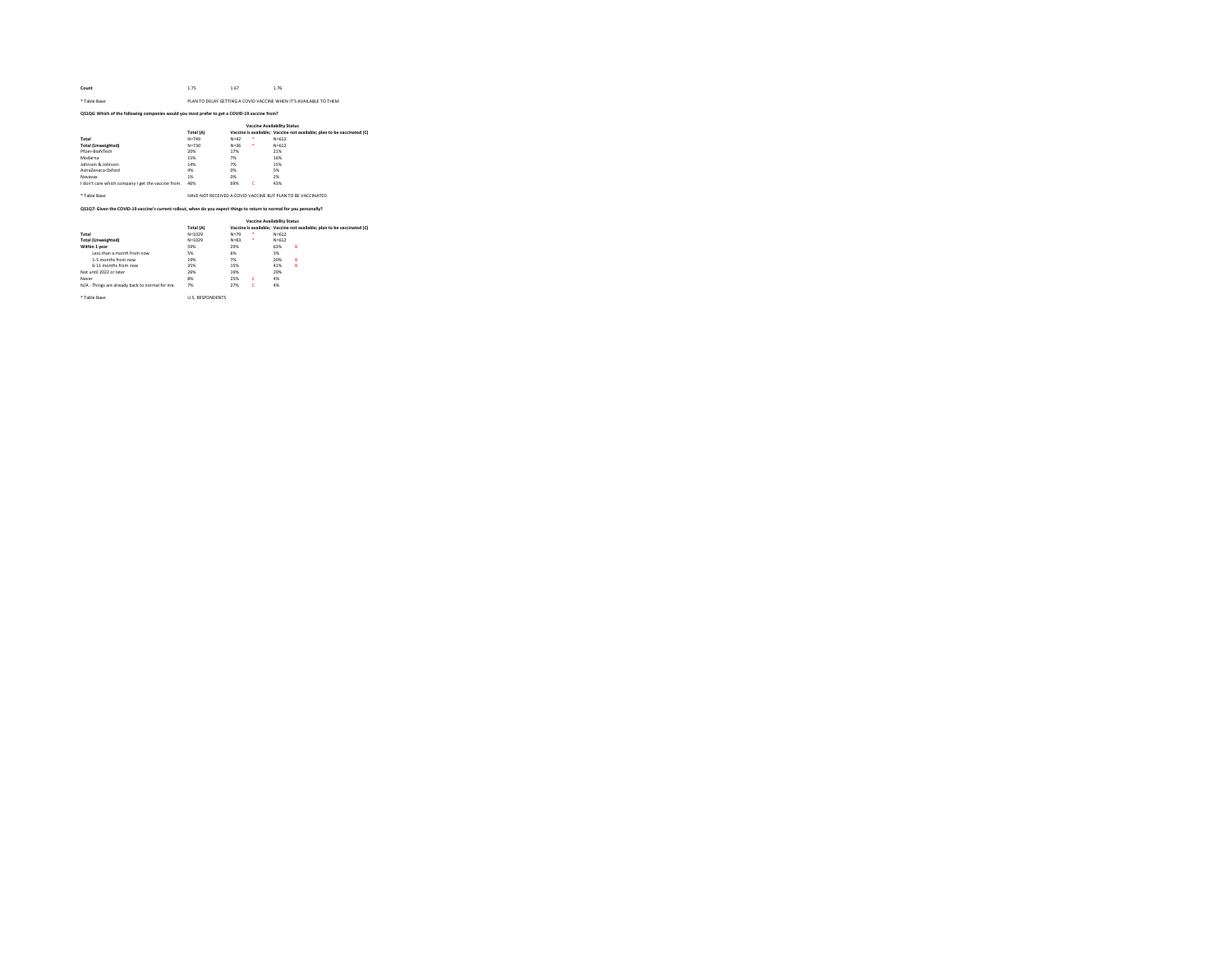| Count | 1.75 | 1.67                      | 1.76 |
|-------|------|---------------------------|------|
|       |      | and the state of the con- |      |

## \* Table Base: PLAN TO DELAY GETTING A COVID VACCINE WHEN IT'S AVAILABLE TO THEM

## QS1Q6: Which of the following companies would you most prefer to get a COVID-19 vaccine from?

|                                                    | <b>Vaccine Availability Status</b> |          |   |                                                                        |  |  |  |  |
|----------------------------------------------------|------------------------------------|----------|---|------------------------------------------------------------------------|--|--|--|--|
|                                                    | Total (A)                          |          |   | Vaccine is available: Vaccine not available: plan to be vaccinated (C) |  |  |  |  |
| Total                                              | $N = 749$                          | $N = 42$ | ٠ | $N = 612$                                                              |  |  |  |  |
| <b>Total (Unweighted)</b>                          | $N = 730$                          | $N = 36$ | ٠ | $N = 612$                                                              |  |  |  |  |
| Pfizer-RinNTech                                    | 20%                                | 17%      |   | 21%                                                                    |  |  |  |  |
| Moderna                                            | 15%                                | 7%       |   | 16%                                                                    |  |  |  |  |
| Johnson & Johnson                                  | 14%                                | 7%       |   | 15%                                                                    |  |  |  |  |
| AstraZenera-Oxford                                 | 4%                                 | 0%       |   | 5%                                                                     |  |  |  |  |
| Novayay                                            | 1%                                 | 0%       |   | 2%                                                                     |  |  |  |  |
| I don't care which company I get the vaccine from. | 46%                                | 69%      | ċ | 43%                                                                    |  |  |  |  |
| * Table Rase:                                      |                                    |          |   | HAVE NOT RECEIVED A COVID VACCINE BUT PLAN TO BE VACCINATED.           |  |  |  |  |

## QS1Q7: Given the COVID-19 vaccine's current rollout, when do you expect things to return to normal for you personally?

|                                                 |                        |          | <b>Vaccine Availability Status</b> |           |                                                                        |
|-------------------------------------------------|------------------------|----------|------------------------------------|-----------|------------------------------------------------------------------------|
|                                                 | Total (A)              |          |                                    |           | Vaccine is available: Vaccine not available: plan to be vaccinated (C) |
| Total                                           | $N = 1029$             | $N = 79$ | ٠                                  | $N = 612$ |                                                                        |
| <b>Total (Unweighted)</b>                       | $N = 1029$             | $N = 82$ | ٠                                  | $N = 612$ |                                                                        |
| Within 1 year                                   | 59%                    | 29%      |                                    | 63%       | B                                                                      |
| Less than a month from now.                     | 5%                     | 6%       |                                    | 3%        |                                                                        |
| 1-5 months from now                             | 19%                    | 7%       |                                    | 20%       | B                                                                      |
| 6-11 months from now                            | 35%                    | 15%      |                                    | 41%       | B                                                                      |
| Not until 2022 or later                         | 26%                    | 19%      |                                    | 29%       |                                                                        |
| Never                                           | 8%                     | 25%      | c                                  | 4%        |                                                                        |
| N/A - Things are already back to normal for me. | 7%                     | 27%      | c                                  | 4%        |                                                                        |
| * Table Rase:                                   | <b>ILS RESPONDENTS</b> |          |                                    |           |                                                                        |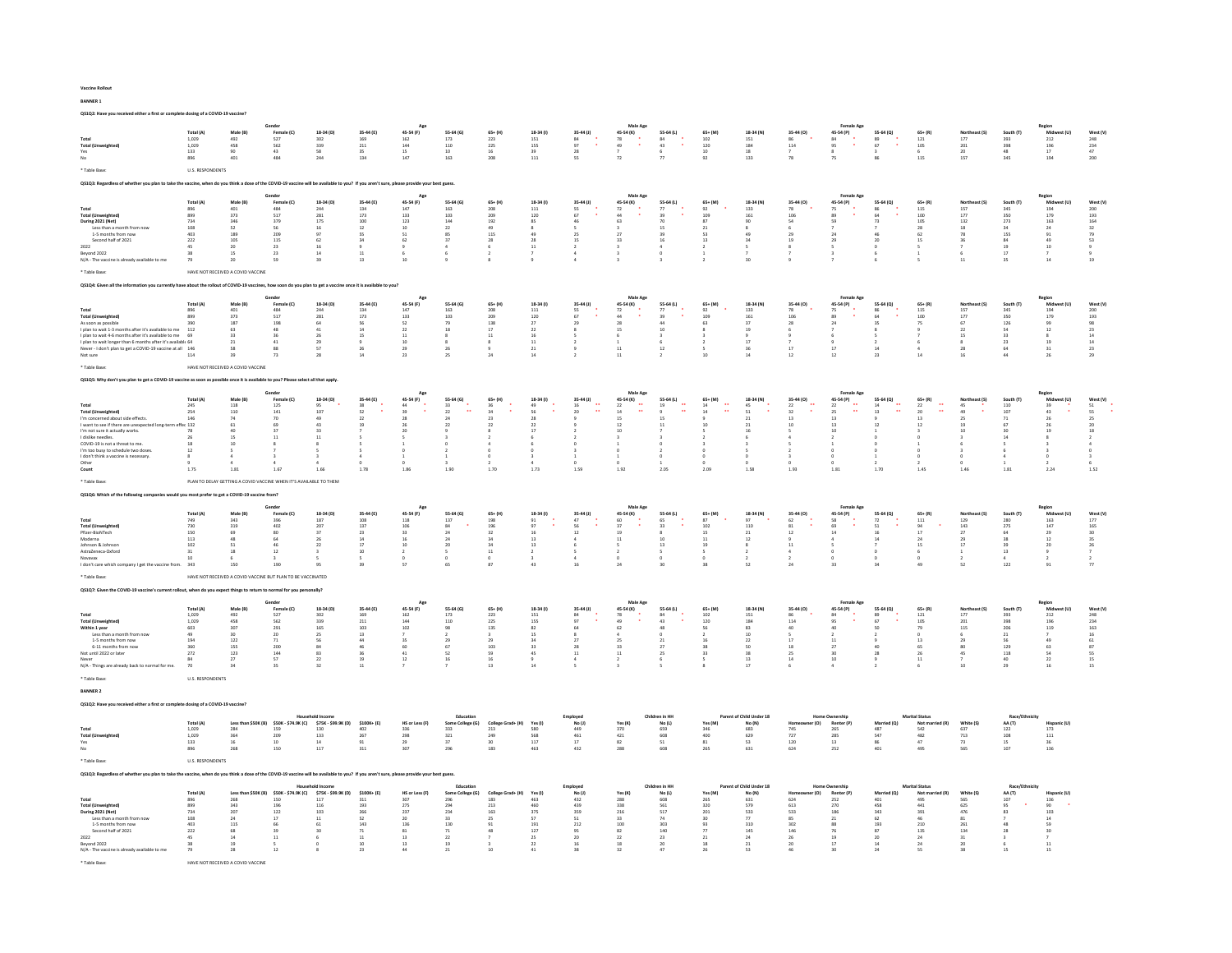### Vaccine Rollout

BANNER 1

QS1Q2: Have you received either a first or complete dosing of a COVID-19 vaccine?

|                                                                                                                                                                                           |                             |                                                                   | Gender                                         |                                                          |                                                   |                                         |                                                 |                          |                       |                             | Male Age                  |                                |                                  |                                               |                              | <b>Female Age</b>                       |                                                      |                            |                             |                                                 |                                                     |                              |
|-------------------------------------------------------------------------------------------------------------------------------------------------------------------------------------------|-----------------------------|-------------------------------------------------------------------|------------------------------------------------|----------------------------------------------------------|---------------------------------------------------|-----------------------------------------|-------------------------------------------------|--------------------------|-----------------------|-----------------------------|---------------------------|--------------------------------|----------------------------------|-----------------------------------------------|------------------------------|-----------------------------------------|------------------------------------------------------|----------------------------|-----------------------------|-------------------------------------------------|-----------------------------------------------------|------------------------------|
| Total<br>Total (Up                                                                                                                                                                        | Total (A)<br>1,029<br>1.029 | Male (B)<br>492<br>458                                            | Female (C)<br>$527$<br>562                     | 18-34 (D)<br>$302$                                       | 35-44 (E)<br>169                                  | 45-54 (F)<br>$162\,$<br>144             | 55-64 (G)<br>173<br>110                         | $65 + (H)$<br>223        | 18-34 (f)<br>$151\,$  | $35-44$ (J)<br>84<br>97     | 45-54 (K)<br>$78$<br>$49$ | 55-64 (L)<br>$^{\rm 84}$<br>43 | 65+ (M)<br>$\frac{102}{120}$     | 18-34 (N)<br>$151\,$                          | 35-44 (O)<br>86<br>114       | 45-54 (P)<br>$^{\rm 84}$                | 55-64 (Q)<br>$\begin{array}{c} 89 \\ 67 \end{array}$ | $65 + (R)$<br>121          | Northeast (S)<br>$177\,$    | South (T)<br>393                                | Midwest (U)<br>$_{\rm 212}$                         | West (V)<br>248              |
| Yes                                                                                                                                                                                       | 133                         | 90                                                                | 43                                             | 339<br>58                                                | 211<br>35                                         | 15                                      | 10                                              | 225<br>16<br>208         | 155<br>39             | 28                          | $\overline{12}$           | 6                              | 10                               | 184<br>18                                     | $\overline{7}$               | 95                                      |                                                      | 105<br>6                   | 201<br>20<br>157            | 398<br>48                                       | $\frac{196}{17}$                                    | $\frac{234}{47}$             |
| No                                                                                                                                                                                        | 896                         | 401                                                               | 484                                            | 244                                                      | 134                                               | 147                                     | 163                                             |                          | 111                   | 55                          |                           |                                | 92                               | 133                                           |                              |                                         |                                                      | 115                        |                             | 345                                             | 194                                                 | 200                          |
| * Table Base:                                                                                                                                                                             | <b>U.S. RESPONDENTS</b>     |                                                                   |                                                |                                                          |                                                   |                                         |                                                 |                          |                       |                             |                           |                                |                                  |                                               |                              |                                         |                                                      |                            |                             |                                                 |                                                     |                              |
| QS1Q3: Regardless of whether you plan to take the vaccine, when do you think a dose of the COVID-19 vaccine will be available to you? If you aren't sure, please provide your best guess. |                             |                                                                   |                                                |                                                          |                                                   |                                         |                                                 |                          |                       |                             |                           |                                |                                  |                                               |                              |                                         |                                                      |                            |                             |                                                 |                                                     |                              |
|                                                                                                                                                                                           | Total (A)                   | Male (B                                                           | Gender<br>Female (C)                           | 18-34 (D)                                                | 35-44 (E)                                         | Age<br>45-54 (F)                        | 55-64 (G)                                       | $65 + (H)$               | 18-34 (1)             | 35-44 (J)                   | Male Age<br>45-54 (K)     | 55-64 (L)                      | $65 + (M)$                       | 18-34 (N)                                     | 35-44 (0)                    | Female Age<br>45-54 (P)                 | 55-64 (Q)                                            | $65+ (R)$                  |                             | South (T                                        | Region<br>Mid                                       | West (V)                     |
| Total<br><b>Total (Unweighted)</b>                                                                                                                                                        | 896<br>899                  | 401<br>373                                                        | 48.4<br>517                                    | 244<br>$\bf 281$                                         | 134<br>173                                        | 147<br>133                              | 163<br>103                                      | 208<br>209               | 111<br>120            | 55<br>67                    | 72<br>44                  | 77<br>39                       | 92<br>109                        | 133<br>161                                    | 78<br>106                    | 75<br>89                                | 86<br>64                                             | 115<br>100                 | 157<br>177                  | 345<br>350                                      | 194<br>179                                          | 200<br>193                   |
| During 2021 (Net)<br>Less than a month from now                                                                                                                                           | 734<br>108                  | $_{\rm 346}$<br>52                                                | 379                                            | 175<br>16                                                | $100\,$<br>12                                     | $123\,$<br>10                           | 144<br>22                                       | 192<br>49                | 85                    |                             | 63                        | 15                             | 87<br>21                         | 90<br>$\mathbf{R}$                            | 54<br>6                      | 59                                      | 73                                                   | 105<br>28                  | 132<br>18                   | 273<br>34                                       | 163<br>24                                           | 164                          |
| 1-5 months from nov                                                                                                                                                                       | 403                         | 189                                                               | 56<br>209                                      | 97                                                       | <sub>SS</sub>                                     | 51                                      | 85                                              | $115\,$                  |                       | $25\,$                      | $^{27}$                   |                                | 53                               |                                               |                              | 24                                      |                                                      | 62                         |                             | 155                                             | 91                                                  | $\frac{32}{79}$              |
| Second half of 2021<br>2022                                                                                                                                                               | 222<br>45                   | 105<br>20                                                         | 115<br>$\overline{23}$                         | 62<br>$16\,$                                             | 34                                                | 62                                      | 37                                              | 28                       | 28<br>$11\,$          | 15                          | 33                        | 16                             | 13                               | 34                                            | 19<br>$\bf8$                 | 29                                      | 20<br>$\mathbf 0$                                    | 15                         | 36                          | 84<br>$19\,$                                    | 49<br>$10\,$                                        | 53                           |
| Beyond 2022<br>N/A - The vaccine is already available to me                                                                                                                               | 38<br>79                    | 15<br>20                                                          | 23<br>59                                       | 14<br>39                                                 | $11\,$<br>13                                      | 10                                      |                                                 |                          |                       |                             |                           | $\theta$                       |                                  | 30                                            |                              |                                         |                                                      |                            | $11$                        | 17<br>35                                        | $\overline{z}$<br>$14\,$                            | 19                           |
| * Table Base                                                                                                                                                                              |                             | HAVE NOT RECEIVED A COVID VACCINE                                 |                                                |                                                          |                                                   |                                         |                                                 |                          |                       |                             |                           |                                |                                  |                                               |                              |                                         |                                                      |                            |                             |                                                 |                                                     |                              |
| OS104: Given all the infor                                                                                                                                                                |                             |                                                                   |                                                |                                                          |                                                   |                                         |                                                 |                          |                       |                             |                           |                                |                                  |                                               |                              |                                         |                                                      |                            |                             |                                                 |                                                     |                              |
| mation you currently have about the rollout of COVID-19 vaccines, how soon do you plan to get a vaccine once it is available to you?                                                      |                             |                                                                   |                                                |                                                          |                                                   |                                         |                                                 |                          |                       |                             |                           |                                |                                  |                                               |                              |                                         |                                                      |                            |                             |                                                 |                                                     |                              |
|                                                                                                                                                                                           | Total (A)                   | Male (B)                                                          | Female (C)                                     | 18-34 (D)                                                | 35-44 (E)                                         | 45-54 (F)                               | 55-64 (G)                                       | $65 + (H)$               | 18-34 (f)             | 35-44 (J)                   | Male Ag<br>45-54 (K)      | 55-64 (L)                      | 65+ (M)                          | 18-34 (N)                                     | 35-44 (0)                    | Female Ag<br>45-54 (P)                  | 55-64 (Q)                                            | $65 + (R)$                 | Northeast (S)               | South (T)                                       | Midwest (U)                                         | West (V)                     |
| <b>Total (Unweighted)</b>                                                                                                                                                                 | 896<br>899                  | $\bf 401$<br>373                                                  | 484<br>517                                     | 244<br>281                                               | $134\,$<br>173                                    | 147<br>133                              | 163<br>$103 -$                                  | 208<br>209               | $111\,$<br>120        | 55<br>67                    | 72<br>44                  | 77<br>$39 -$                   | 92<br>109                        | 133<br>161                                    | 106                          | 75                                      | 64                                                   | $115\,$<br>100             | 157<br>177                  | 345<br>350                                      | 194<br>179                                          | 200<br>193                   |
| As soon as possible                                                                                                                                                                       | 390                         | 187                                                               | 198<br>48                                      | $64\,$                                                   | 56                                                | 52                                      | 79<br>18                                        | 138                      | 27                    | 29                          | $\bf 28$                  | 44<br>$10$                     | 63                               | 37<br>19                                      | 28                           | $\begin{array}{c} 89 \\ 24 \end{array}$ | 35                                                   | 75                         | 67<br>22                    | 126<br>54                                       | 99                                                  | 98                           |
| I plan to wait 1-3 months after it's available to me<br>I plan to wait 4-6 months after it's available to me 69                                                                           | $112\,$                     | 63<br>33                                                          | 36                                             | $\bf 41$<br>26                                           | $14\,$<br>15                                      | $\bf{22}$<br>11                         | $\mathbf{s}$                                    | $17\,$<br>11             | $\bf 22$<br>16        |                             | 15                        | $\overline{\mathbf{z}}$        |                                  |                                               |                              |                                         |                                                      |                            | 15                          | 33                                              | $12\,$<br>$\mathbf{s}$                              | $23\,$<br>14                 |
| I plan to wait longer than 6 months after it's available 64<br>Never - I don't plan to get a COVID-19 vaccine at all 146                                                                  |                             | 58                                                                | 41<br>88                                       | $\overline{29}$<br>57                                    | 26                                                | 10<br>29                                | 26                                              |                          | $11\,$<br>21          |                             | 11                        | 12                             |                                  | 17<br>36                                      | 17                           | 17                                      | 14                                                   |                            | 28                          | $\overline{\bf 23}$<br>64                       | $^{\rm 19}$<br>31                                   | $_{\rm 14}$<br>23            |
| Not sure                                                                                                                                                                                  | 114                         |                                                                   | 73                                             | 28                                                       | $14$                                              | 23                                      |                                                 |                          | 14                    |                             | $\overline{11}$           |                                |                                  |                                               | 12                           | 12                                      | 23                                                   |                            |                             | 44                                              | 26                                                  | $\overline{29}$              |
| * Table Base:                                                                                                                                                                             |                             | HAVE NOT RECEIVED A COVID VACCINE                                 |                                                |                                                          |                                                   |                                         |                                                 |                          |                       |                             |                           |                                |                                  |                                               |                              |                                         |                                                      |                            |                             |                                                 |                                                     |                              |
| Q\$1Q5: Why don't you plan to get a COVID-19 vaccine as soon as possible once it is available to you? Please select all that apply                                                        |                             |                                                                   |                                                |                                                          |                                                   |                                         |                                                 |                          |                       |                             |                           |                                |                                  |                                               |                              |                                         |                                                      |                            |                             |                                                 |                                                     |                              |
|                                                                                                                                                                                           |                             |                                                                   | Gender                                         |                                                          |                                                   | Age                                     |                                                 |                          |                       |                             | Male Age                  |                                |                                  |                                               |                              | Female Age                              |                                                      |                            |                             |                                                 | Region                                              |                              |
|                                                                                                                                                                                           | Total (A)<br>$245\,$        | Male (B)<br>$118\,$                                               | Female (C)<br>125                              | 18-34 (D)                                                | 35-44 (E)<br>$38$                                 | 45-54 (F)<br>44                         | 55-64 (G)<br>33                                 | $65+$ (H)<br>36          | 18-34 (1)<br>49       | 35-44 (J)<br>16             | 45-54 (K)<br>22           | 55-64 (L)<br>19                | 65+ (M)<br>14                    | 18-34 (N)<br>45                               | 35-44 (0)<br>$\mathbf{22}$   | 45-54 (P)<br>22                         | 55-64 (Q)<br>14                                      | $65 + (R)$<br>$\bf{22}$    | 45                          | 110                                             | Mi<br>39                                            | West (V)<br>${\sf S1}$       |
| <b>Total (Unweighted)</b>                                                                                                                                                                 | 254<br>146                  | 110<br>74                                                         | 141<br>70                                      | 95<br>107                                                | 52<br>$\overline{22}$                             | 39<br>28                                | 22                                              | 34                       | 56                    | 20                          | 14                        |                                | ä.<br>14                         | 51                                            | 32                           | 25<br>13                                | 13                                                   | $\ddot{\phantom{1}}$<br>20 | 49                          | 107<br>$71\,$                                   | 43<br>26                                            | 55<br>25                     |
| I'm concerned about side effects.<br>I want to see if there are unexpected long-term effec 132                                                                                            |                             | 61                                                                | 69                                             | 43                                                       | 19                                                | 26                                      | 22                                              | 22                       | 22                    |                             | 12                        | 11                             | 10                               | $_{21}$                                       | 10                           | 13                                      | 12                                                   | 12                         | 19                          | 67                                              | 26                                                  | 20                           |
| I'm not sure it actually works.<br>I dislike needles                                                                                                                                      | 78<br>26                    | 40                                                                | 37<br>$\overline{11}$                          | 33<br>$11$                                               |                                                   | 20                                      |                                                 |                          | 17                    |                             | 10                        |                                |                                  | 16                                            |                              | 10                                      |                                                      |                            | 10                          | 30<br>14                                        | 19                                                  | 18                           |
| COVID-19 is not a threat to me.                                                                                                                                                           | 18<br>12                    | 10                                                                |                                                |                                                          |                                                   |                                         |                                                 |                          |                       |                             |                           |                                |                                  |                                               |                              |                                         |                                                      |                            |                             |                                                 |                                                     |                              |
| I'm too busy to schedule two doses<br>I don't think a vaccine is necessary.                                                                                                               | $\mathcal{R}$               |                                                                   |                                                |                                                          |                                                   |                                         |                                                 |                          |                       |                             |                           |                                |                                  |                                               |                              |                                         |                                                      |                            |                             |                                                 | $\Omega$                                            |                              |
| Other<br>Count                                                                                                                                                                            | 1.75                        | 1.81                                                              | 1.67                                           | 1.66                                                     | 1.78                                              | 1.86                                    | 1.90                                            | 1.70                     | 1.73                  | 1.59                        | 192                       | 205                            | 2.09                             | 1.58                                          | 1.93                         | 1.81                                    | 1.70                                                 | 1.45                       | 1.46                        | 1.81                                            | 2.24                                                | 1.52                         |
| * Table Base                                                                                                                                                                              |                             | PLAN TO DELAY GETTING A COVID VACCINE WHEN IT'S AVAILABLE TO THEM |                                                |                                                          |                                                   |                                         |                                                 |                          |                       |                             |                           |                                |                                  |                                               |                              |                                         |                                                      |                            |                             |                                                 |                                                     |                              |
|                                                                                                                                                                                           |                             |                                                                   |                                                |                                                          |                                                   |                                         |                                                 |                          |                       |                             |                           |                                |                                  |                                               |                              |                                         |                                                      |                            |                             |                                                 |                                                     |                              |
|                                                                                                                                                                                           |                             |                                                                   |                                                |                                                          |                                                   |                                         |                                                 |                          |                       |                             |                           |                                |                                  |                                               |                              |                                         |                                                      |                            |                             |                                                 |                                                     |                              |
| QS1Q6: Which of the following companies would you most prefer to get a COVID-19 vaccine from?                                                                                             |                             |                                                                   |                                                |                                                          |                                                   |                                         |                                                 |                          |                       |                             |                           |                                |                                  |                                               |                              |                                         |                                                      |                            |                             |                                                 |                                                     |                              |
|                                                                                                                                                                                           | Total (A)                   | Male (B)                                                          | Female (C)                                     | 18-34 (D)                                                | 35-44 (E)                                         | Age<br>45-54 (F)                        | 55-64 (G)                                       | $65 + (H)$               | 18-34 (1)             | $35-44$ (J)                 | Male Age<br>45-54 (K)     | 55-64 (L)                      | $65+ (M)$                        | 18-34 (N)                                     | 35-44 (0)                    | <b>Female Age</b><br>45-54 (P)          | 55-64 (O)                                            | $65 + (R)$                 | Northeast (S)               | South (T)                                       | Region<br>Mid                                       | West (V)                     |
| Total                                                                                                                                                                                     | 749                         | 343                                                               | 396                                            | 187                                                      | 108                                               | 118                                     | 137                                             | 198                      | 91<br>97              | 47                          | 60                        | 65                             | 87                               | 97                                            | 62                           | 58                                      | 72                                                   | 111                        | 129                         | 280                                             | 163                                                 | 177                          |
| <b>Total (Unweighted</b><br>Pfizer-BioNTech                                                                                                                                               | 730<br>150                  | 319<br>69                                                         | 402<br>80                                      | 207<br>37                                                | 137<br>23                                         | 106<br>33                               | 84<br>24                                        | 196<br>32                | 16                    | 56<br>12                    | 37<br>19                  | 33<br>8                        | 102<br>15                        | 110<br>21                                     | 81<br>12                     | 69<br>14                                | 51<br>16                                             | 94<br>17                   | 143<br>27                   | 275<br>64                                       | 147<br>29                                           | 165<br>30                    |
| Moderna<br>Johnson & Johnso                                                                                                                                                               | $113\,$<br>102              | 48<br>51                                                          | 64<br>4ĥ                                       | 26<br>22                                                 | $14\,$                                            | 16<br>10 <sup>10</sup>                  | 24<br>$\bf{20}$                                 | 34<br>24                 | 13<br>13              |                             | $11\,$                    | 10<br>$13\,$                   | 11<br>19                         | $12\,$                                        | $11$                         |                                         | 14                                                   | 24<br>15                   | 29<br>17                    | 38<br>39                                        | $12\,$                                              | 35                           |
| AstraZeneca-Oxford<br>Novayay                                                                                                                                                             | 31<br>10                    | 18                                                                | 12                                             |                                                          | $\begin{array}{c} 17 \\ 10 \end{array}$           | $\overline{2}$<br>$\alpha$              | 5                                               | $11\,$                   | $\overline{2}$        |                             |                           | $\overline{\phantom{a}}$       |                                  |                                               | 4                            |                                         |                                                      |                            |                             | 13<br>A.                                        | $_{\rm 20}$<br>9<br>$\overline{2}$                  | $_{\rm 26}$<br>$\rightarrow$ |
| I don't care which company I get the vaccine from. 343                                                                                                                                    |                             | 150                                                               | 190                                            | 95                                                       | 39                                                | 57                                      | 65                                              | 87                       | 43                    | 16                          | 2a                        |                                | 38                               | 52                                            | 24                           | 33                                      | 34                                                   | 49                         | 52                          | 122                                             | 91                                                  | 77                           |
| * Table Rase                                                                                                                                                                              |                             | HAVE NOT RECEIVED A COVID VACCINE BUT PLAN TO BE VACCINATED       |                                                |                                                          |                                                   |                                         |                                                 |                          |                       |                             |                           |                                |                                  |                                               |                              |                                         |                                                      |                            |                             |                                                 |                                                     |                              |
| QS1Q7: Given the COVID-19 vaccine's current rollout, when do you expect things to return to normal for you                                                                                |                             |                                                                   |                                                |                                                          |                                                   |                                         |                                                 |                          |                       |                             |                           |                                |                                  |                                               |                              |                                         |                                                      |                            |                             |                                                 |                                                     |                              |
|                                                                                                                                                                                           |                             |                                                                   | Gender                                         |                                                          |                                                   | Age                                     |                                                 |                          |                       |                             | Male Age                  |                                |                                  |                                               |                              | <b>Female Age</b>                       |                                                      |                            |                             |                                                 | Region                                              |                              |
|                                                                                                                                                                                           | Total (A)                   | Male (B)                                                          | Female (C)                                     | 18-34 (D)                                                | 35-44 (E)                                         | 45-54 (F)                               | 55-64 (G)                                       | $65 + (H)$               | 18-34 (1)             | 35-44 (J)                   | 45-54 (K)                 | 55-64 (L)                      | $65+$ (M)                        | 18-34 (N)                                     | 35-44 (0)                    | 45-54 (P)                               | 55-64 (O)                                            | $65 + (R)$                 | Northeast (S)               | South (T)                                       | Midwest (U)                                         | West (V)                     |
| Total<br><b>Total (Unweighted)</b>                                                                                                                                                        | 1,029<br>1.029              | 492<br>458                                                        | 527<br>562                                     | 302<br>339                                               | 169<br>$211\,$                                    | 162<br>144                              | $173\,$<br>110                                  | $223\,$<br>225           | $\bf 151$<br>155      | 84<br>Q7                    | 78<br>49                  | 84<br>43                       | $102\,$<br>120                   | $151\,$<br>184                                | 86<br>114                    | 84<br>95                                | 89<br>67                                             | $121\,$<br>105             | 177<br>201                  | 393<br>398                                      | $_{\rm 212}$                                        | 248<br>234                   |
| Within 1 year                                                                                                                                                                             | 603<br>49                   | 307<br>30                                                         | 291<br>20                                      | 165<br>25                                                | 103<br>$13\,$                                     | 102                                     | 98<br>$\overline{2}$                            | 135                      | 82<br>15              | 64                          | 62                        | 48                             | 56                               | 83<br>10                                      | 40                           | 40                                      | 50                                                   | 79                         | 115                         | 206<br>$_{\rm 21}$                              | $\frac{196}{119}$                                   | 163<br>16                    |
| Less than a month from now<br>1-5 months from now                                                                                                                                         | 194                         | 122                                                               | 71                                             | 56                                                       | 44                                                | 35                                      | 29                                              | 29                       | 34                    | 27                          | 25                        | 21                             | 16                               | 22                                            | 17                           | 11                                      |                                                      | 13                         | 29                          | 56                                              | 49                                                  | 61                           |
| 6-11 months from now<br>Not until 2022 or later                                                                                                                                           | 360<br>272                  | 155                                                               | 200                                            | 84                                                       | 46                                                | 60                                      | 67<br>52                                        | 103                      | 33<br>45              | 28<br>$11\,$                | 33<br>11                  | 27<br>25                       | 38<br>33                         | 50                                            | 18                           | $27\,$                                  | 40<br>28                                             | 65<br>26                   | 80<br>45                    | 129                                             | 63                                                  | $\overline{\mathbf{37}}$     |
| Never<br>N/A - Things are already back to normal for me                                                                                                                                   | 84<br>70                    | $\frac{123}{27}$                                                  | 144<br>57<br>35                                | $\begin{array}{c} 83 \\ 22 \end{array}$<br>32            | $\begin{array}{c} 36 \\ 19 \end{array}$<br>$11\,$ | $\begin{array}{c} 41 \\ 12 \end{array}$ | 16                                              | 59<br>16<br>13           | 14                    |                             |                           |                                |                                  | $\begin{array}{c} 38 \\ 13 \end{array}$<br>17 | $rac{25}{14}$                | $\begin{array}{c} 30 \\ 10 \end{array}$ |                                                      | 11                         | 10                          | $\begin{array}{c} 118 \\ 40 \end{array}$<br>29  | $\frac{54}{22}$<br>16                               | 55<br>15<br>15               |
| * Table Base                                                                                                                                                                              |                             |                                                                   |                                                |                                                          |                                                   |                                         |                                                 |                          |                       |                             |                           |                                |                                  |                                               |                              |                                         |                                                      |                            |                             |                                                 |                                                     |                              |
|                                                                                                                                                                                           | <b>U.S. RESPONDENTS</b>     |                                                                   |                                                |                                                          |                                                   |                                         |                                                 |                          |                       |                             |                           |                                |                                  |                                               |                              |                                         |                                                      |                            |                             |                                                 |                                                     |                              |
| <b>BANNER 2</b>                                                                                                                                                                           |                             |                                                                   |                                                |                                                          |                                                   |                                         |                                                 |                          |                       |                             |                           |                                |                                  |                                               |                              |                                         |                                                      |                            |                             |                                                 |                                                     |                              |
| OS1O2: Have you received either a first or complete dosing of a COVID-19 vaccine?                                                                                                         |                             |                                                                   |                                                |                                                          |                                                   |                                         |                                                 |                          |                       |                             |                           |                                |                                  |                                               |                              |                                         |                                                      |                            |                             |                                                 |                                                     |                              |
|                                                                                                                                                                                           |                             |                                                                   |                                                | <b>Household Income</b>                                  | $$100K+ (E)$                                      |                                         | Education                                       | rad+ (H)                 | Yes (I)               | Employee                    | Yes (K)                   | Children in HH                 |                                  | Parent of Child Under 18                      | (O)                          | <b>Home Ownership</b>                   | Married (Q)                                          | <b>Marital Status</b>      |                             | Race/Ethnicity                                  | Hispanic (U)                                        |                              |
| Total                                                                                                                                                                                     | Total (A)<br>1,029          | Less than \$50K (B)                                               | \$50K - \$74.9K (C)                            | \$75K - \$99.9K (D)                                      |                                                   | HS or Less (F)                          | Some College (G)                                | College G                |                       | No(1)                       | 370                       | No(L)<br>659                   | Yes (M)                          | No (N)                                        |                              | Renter (P)                              |                                                      | Not ma                     | White (S)                   | AA (T)                                          |                                                     |                              |
| <b>Total (Unweighted</b><br>Yes                                                                                                                                                           | 1,029<br>133                | $\frac{284}{364}$<br>16                                           | 159<br>209<br>10                               | $\begin{array}{c} 130 \\ 133 \end{array}$<br>$^{\rm 14}$ | $\frac{402}{267}$<br>91                           | 336<br>298<br>29                        | $\begin{array}{c} 333 \\ 321 \end{array}$<br>37 | $\frac{213}{249}$<br>30  | 580<br>568<br>117     | $\frac{449}{461}$<br>$17\,$ | 421<br>82                 | 608<br>51                      | $\frac{346}{400}$<br>$^{\rm 81}$ | 683<br>629<br>53                              | $\frac{745}{727}$<br>$120\,$ | 265<br>285<br>$_{\rm 13}$               | 487<br>547<br>86                                     | 542<br>482<br>47           | $\frac{637}{713}$<br>$73\,$ | $\begin{array}{c} 122 \\ 108 \end{array}$<br>15 | $\begin{array}{c} 173 \\ 111 \end{array}$<br>$36\,$ |                              |
| No                                                                                                                                                                                        | 896                         | 268                                                               | 150                                            | 117                                                      | 311                                               | 307                                     | 296                                             | 183                      | 463                   | 432                         | 288                       | 608                            | 265                              | 631                                           | 624                          | 252                                     | 401                                                  | 495                        | 565                         | 107                                             | 136                                                 |                              |
| * Table Rass                                                                                                                                                                              | <b>U.S. RESPONDENTS</b>     |                                                                   |                                                |                                                          |                                                   |                                         |                                                 |                          |                       |                             |                           |                                |                                  |                                               |                              |                                         |                                                      |                            |                             |                                                 |                                                     |                              |
| ss of whether you plan to take the vaccine, when do you think a dose of the COVID-19 vaccine will be available to you? If you aren't sure, please provide your best guess<br>05103: Re    |                             |                                                                   |                                                |                                                          |                                                   |                                         |                                                 |                          |                       |                             |                           |                                |                                  |                                               |                              |                                         |                                                      |                            |                             |                                                 |                                                     |                              |
|                                                                                                                                                                                           |                             |                                                                   |                                                |                                                          |                                                   |                                         | Education                                       |                          |                       | Employe                     |                           | Children in H                  |                                  | Parent of Child Under 18                      |                              | nershij                                 |                                                      | Marital Status             |                             | Race/I                                          |                                                     |                              |
| Total                                                                                                                                                                                     | Total (A)<br>896            | 268                                                               | Less than \$50K (B) \$50K - \$74.9K (C)<br>150 | \$75K - \$99.9K (D)<br>117                               | \$100K+ (E)<br>311                                | HS or Less (F)<br>307                   | Some College (G)<br>296                         | College Grad+ (H)<br>183 | Yes (I)<br>463        | No (J)<br>432               | Yes (K)<br>288            | No (L)<br>608                  | Yes (M)<br>265                   | No (N)<br>631                                 | (0)<br>624                   | Renter (P)<br>252                       | Married (O)<br>401                                   | Not married (R)<br>495     | White (S)<br>565            | AA (T)<br>107                                   | Hispanic (U)<br>136                                 |                              |
| <b>Total (Unweighted)</b><br>During 2021 (Net)                                                                                                                                            | 899<br>734                  | $_{\rm 343}$<br>207                                               | 196<br>122                                     | $116\,$<br>103                                           | 193<br>266                                        | 275<br>237                              | 294<br>234                                      | 213<br>163               | 460<br>375            | 439<br>359                  | 338<br>216                | 561<br>517                     | $320\,$<br>201                   | 579<br>533                                    | $613\,$<br>533               | 270<br>186                              | $\bf 458$<br>343                                     | $\bf 441$<br>391           | 625<br>476                  | 95<br>83                                        | $90\,$<br>103                                       |                              |
| Less than a month from now                                                                                                                                                                | 108                         | $_{\rm 24}$                                                       | 17                                             | $11\,$                                                   | ${\sf s} {\sf z}$                                 | $20\,$                                  | 33                                              | 25                       | 57                    | 51                          | 33                        | $\overline{74}$                | 30                               | $\overline{\mathbf{z}}$                       |                              | $\bf{21}$                               | 62                                                   | 46                         | $_{31}$                     |                                                 | $_{\rm 14}$                                         |                              |
| 1-5 months from now<br>Second half of 2021                                                                                                                                                | 403<br>222                  | 115<br>68                                                         | 66<br>39                                       | 61<br>30                                                 | 143<br>$71\,$                                     | 136<br>$^{\rm 81}$                      | 130<br>$71\,$                                   | 91                       | 191<br>127            | 212<br>95                   | 100<br>$\overline{32}$    | 303<br>140                     | 93                               | 310<br>145                                    | $rac{85}{302}$<br>146        | 88<br>76                                | 193<br>87                                            | 210<br>135                 | 261<br>134                  | 48                                              | 59                                                  |                              |
| 2022<br>Beyond 2022<br>N/A - The vac                                                                                                                                                      | 45<br>38                    | 14<br>19                                                          | $\mathbf{a}$                                   | c.                                                       | 11<br>10                                          | 13<br>13                                | 22<br>19                                        |                          | 25<br>$\overline{22}$ | 20<br>16                    | 22<br>18                  | 23<br>20                       | 21                               | 24<br>$21\,$                                  | 26<br>20                     | $\begin{array}{c} 19 \\ 17 \end{array}$ | 20 <sub>0</sub><br>14                                | 24<br>24                   | 31<br>20                    |                                                 |                                                     |                              |

\* Table Base: HAVE NOT RECEIVED A COVID VACCINE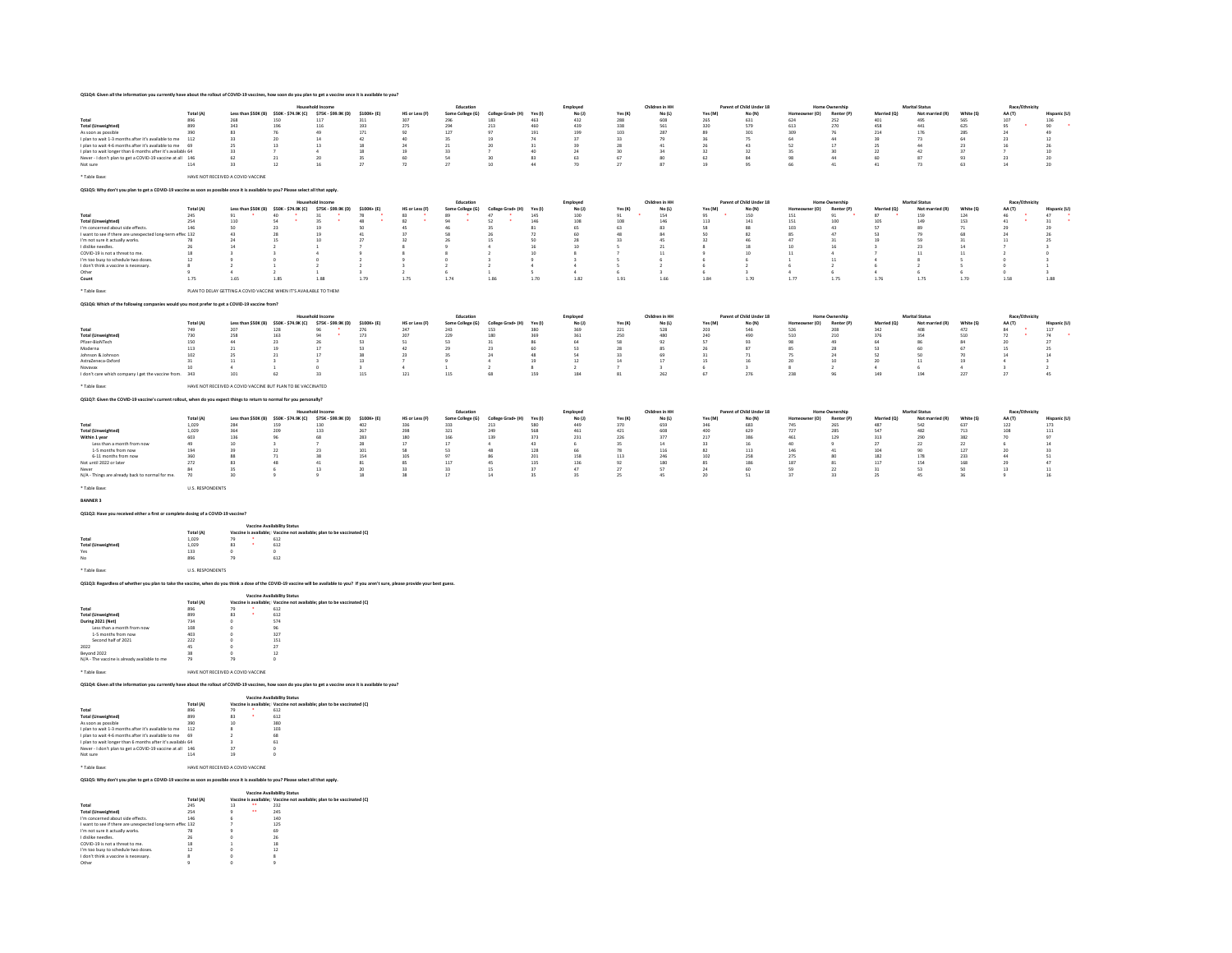| Q\$1Q4: Given all the information you currently have about the rollout of COVID-19 vaccines, how soon do you plan to get a vaccine once it is available to you? |                         |                                                                   |                                         |                           |                 |                |                  |                   |           |              |                 |                |           |                          |                |                       |             |                       |               |                 |                |
|-----------------------------------------------------------------------------------------------------------------------------------------------------------------|-------------------------|-------------------------------------------------------------------|-----------------------------------------|---------------------------|-----------------|----------------|------------------|-------------------|-----------|--------------|-----------------|----------------|-----------|--------------------------|----------------|-----------------------|-------------|-----------------------|---------------|-----------------|----------------|
|                                                                                                                                                                 |                         |                                                                   |                                         | <b>Household Income</b>   |                 |                | Education        |                   |           | Employed     |                 | Children in HH |           | Parent of Child Under 18 |                | Home Ownership        |             | <b>Marital Status</b> |               | Race/Ethnicity  |                |
|                                                                                                                                                                 | Total (A)               |                                                                   | Less than \$50K (B) \$50K - \$74.9K (C) | \$75K - \$99.9K (D)       | \$100K+ (E)     | HS or Less (F) | Some College (G) | College Grad+ (H) | Yes (     | No(1)        | Yes (K)         | No(L)          | Yes (M)   | No (N)                   | er (0)<br>Home | Renter (P             | Married (Q) | Not married (R)       | White (S)     | AA (T)          | Hispanic (U)   |
| Total                                                                                                                                                           | 896                     | 268                                                               | 150                                     | 117                       | 311             | 307            | 296              | 183               | 463       | 432          | 288             | 608            | 265       | 631                      | 624            | 252                   | 401         | 495                   | 565           | 107             | 136            |
| <b>Total (Unweighted)</b>                                                                                                                                       | 899                     | 343                                                               | 196                                     | 116                       | 193             | 275            | 294              | 213               | 460       | 439          | 338             | 561            | 320       | 579                      | 613            | 270                   | 458         | 441                   | 625           | 95<br>24        | 90             |
| As soon as possible                                                                                                                                             | 390                     | 83                                                                | 76                                      | 49                        | 171             | 92<br>40       | 127              | 97                | 191       | 199          | 103             | 287            | 89        | 301                      | 309<br>64      | 76                    | 214         | 176                   | 285<br>64     |                 | 49             |
| I plan to wait 1-3 months after it's available to me                                                                                                            | 112                     | 33                                                                | 20                                      | 14                        | 42              |                | 35               | 19                | 74        | 37           | 33              | 79             |           | 75                       |                | 44                    | 39          | 73                    |               | 23              | 12             |
| I plan to wait 4-6 months after it's available to me                                                                                                            | 69                      | 25                                                                | 13                                      | 13                        | 18              | 24             | 21               | 20                | 31        | 39           | 28              | 41             | 26        | 43                       | 52             | 17                    | 25          | 44                    | 23            | 16              | -26            |
| I plan to wait longer than 6 months after it's available 64                                                                                                     |                         | 33                                                                |                                         |                           | 18              | 19             | $\mathbf{z}$     |                   | 40        | 24           | 30 <sub>1</sub> | 34             | 32        | $\mathbf{z}$             | 35             | 30                    | 22          | 42                    | 27            |                 | 10             |
| Never - I don't plan to get a COVID-19 vaccine at all 146                                                                                                       |                         | 62                                                                | 21                                      | 20                        | 35              | 60             | 54               | 30                | 83        | 63           | 67              | 80             | 62        | $\mathcal{R}_d$          | 98             | 44                    | 60          | 87                    | 93            | 23              | 20             |
| Not sure                                                                                                                                                        | 114                     | 33                                                                | 12                                      | 16                        | 27              | 72             | 27               | 10 <sub>10</sub>  | 44        | $\mathbf{m}$ | 27              | 87             | 19        | 95                       | 66             | 41                    | 41          | 73                    | 63            | 14              | 20             |
| * Table Base:                                                                                                                                                   |                         | HAVE NOT RECEIVED A COVID VACCINE                                 |                                         |                           |                 |                |                  |                   |           |              |                 |                |           |                          |                |                       |             |                       |               |                 |                |
| Q\$1Q\$: Why don't you plan to get a COVID-19 vaccine as soon as possible once it is available to you? Please select all that apply.                            |                         |                                                                   |                                         |                           |                 |                |                  |                   |           |              |                 |                |           |                          |                |                       |             |                       |               |                 |                |
|                                                                                                                                                                 |                         |                                                                   |                                         | <b>Household Income</b>   |                 |                | Education        |                   |           | Employed     |                 | Children in HH |           | Parent of Child Under 18 |                | Home Ownership        |             | <b>Marital Status</b> |               | Race/Ethnicity  |                |
|                                                                                                                                                                 | Total (A)               |                                                                   | Less than \$50K (B) \$50K - \$74.9K (C) | \$75K - \$99.9K (D)       | $$100K + (E)$   | HS or Less (F) | Some College (G) | College Grad+ (H) | Yes (I    | No (J)       | Yes(K)          | No (L)         | Yes (M)   | No (N)                   | er (O)<br>Home | Renter (P             | Married (Q) | Not married (R)       | White (S)     | AA (T)          | Hispanic (U)   |
| Total                                                                                                                                                           | 245                     | 91                                                                | 40                                      | 31                        | 78              | 83             | 89               | 47                | 145       | 100          | 91              | 154            | 95        | 150                      | 151            | 91                    | 87          | 159                   | 124           | 46              | 47             |
| <b>Total (Unweighted)</b>                                                                                                                                       | 254                     | 110                                                               | 54                                      | 35                        | 48              | 82             | $\alpha$         | 52                | 146       | 108          | 108             | 146            | 113       | 141                      | 151            | 100                   | 105         | 149                   | 153           | 41              | 31             |
| I'm concerned about side effects.                                                                                                                               | 146                     | 50                                                                | 23                                      |                           | s               | 45             |                  |                   | 81        | 65           | 63              | 83             | 58        |                          | 103            | 43                    | 57          | 89                    | 71            | $\infty$        | 29             |
| I want to see if there are unexpected long-term effec 132                                                                                                       |                         | 43                                                                | 28                                      |                           | 41              | 37             |                  |                   | -72       | 60           | 48              | 84             | 50        |                          | 85             | 47                    | 53          | 79                    | 68            |                 |                |
| I'm not sure it actually works.                                                                                                                                 | 78                      | 24                                                                | 15                                      | 10                        | 27              | 32             |                  | 15                | 50        | 28           | 33              | 45             | 22        |                          | 47             | 31                    | 19          | 59                    | 31            | 11              |                |
| I dislike needles.                                                                                                                                              | 26                      | 14                                                                |                                         |                           |                 |                |                  |                   | 16        | 10           |                 | 21             |           |                          | 10             | 16                    |             | 23                    | 14            |                 |                |
| COVID-19 is not a threat to me.                                                                                                                                 | 18                      |                                                                   |                                         |                           |                 |                |                  |                   | 10        |              |                 | 11             |           |                          | 11             |                       |             | 11                    | 11            |                 |                |
|                                                                                                                                                                 | 12                      |                                                                   |                                         | $\theta$                  |                 |                |                  |                   |           |              |                 |                |           |                          |                |                       | A           |                       |               |                 |                |
| I'm too busy to schedule two doses.                                                                                                                             |                         | $\overline{ }$                                                    |                                         | $\rightarrow$             | $\rightarrow$   |                |                  | $\rightarrow$     |           | 4            |                 | $\mathcal{P}$  |           |                          |                | 11<br>$\overline{ }$  | 6           | $\rightarrow$         |               |                 |                |
| I don't think a vaccine is necessary                                                                                                                            |                         |                                                                   |                                         |                           |                 |                |                  |                   |           |              |                 |                |           |                          |                |                       |             |                       |               |                 |                |
| Other                                                                                                                                                           |                         | A                                                                 |                                         |                           |                 |                |                  |                   | $\sim$    | A.           |                 |                |           | $\mathbf{z}$             |                | 6                     | $\Delta$    |                       |               |                 | $\mathbf{z}$   |
| Count                                                                                                                                                           | 1.75                    | 1.65                                                              | 1.85                                    | 1.88                      | 1.79            | 1.75           | 1.74             | 1.86              | 1.70      | 1.82         | 1.91            | 1.66           | 1.84      | 1.70                     | 1.77           | 1.75                  | 1.76        | 1.75                  | 1.70          | 1.58            | 1.88           |
| * Table Base:                                                                                                                                                   |                         | PLAN TO DELAY GETTING A COVID VACCINE WHEN IT'S AVAILABLE TO THEM |                                         |                           |                 |                |                  |                   |           |              |                 |                |           |                          |                |                       |             |                       |               |                 |                |
| QS1Q6: Which of the following companies would you most prefer to get a COVID-19 vaccine from?                                                                   |                         |                                                                   |                                         |                           |                 |                |                  |                   |           |              |                 |                |           |                          |                |                       |             |                       |               |                 |                |
|                                                                                                                                                                 |                         |                                                                   |                                         |                           |                 |                |                  |                   |           |              |                 |                |           |                          |                |                       |             |                       |               |                 |                |
|                                                                                                                                                                 |                         |                                                                   |                                         | <b>Household Income</b>   |                 |                | Education        |                   |           |              |                 | Children in HH |           | Parent of Child Under 18 |                | Home Ownership        |             | <b>Marital Status</b> |               | Race/Ethnicity  |                |
|                                                                                                                                                                 |                         |                                                                   |                                         |                           |                 | HS or Less (F) |                  | College Grad+ (H) | Yes (I    | Employed     |                 |                | Yes (M)   | No (N)                   | Homer          | Renter (P             | Married (O) | Not married (R)       | White (S)     |                 |                |
|                                                                                                                                                                 | Total (A)               |                                                                   | Less than \$50K (B) \$50K - \$74.9K (C) | \$75K - \$99.9K (D)<br>96 | \$100K+ (E)     |                | Some College (G) |                   | 380       | No(1)        | Yes(K)          | No(L)          |           | 546                      | ner (O)        |                       |             |                       |               | AA (T)<br>84    | Hispanic (U)   |
| Total                                                                                                                                                           | 749                     | 207                                                               | 128                                     |                           | 276             | 247            | 243              | 153               |           | 369          | 221             | 528            | 203       |                          | 526            | 208                   | 342         | 408                   | 472           |                 | 117            |
| <b>Total (Unweighted)</b>                                                                                                                                       | 730                     | 258<br>44                                                         | 163                                     | 26                        | 173             | 20             | 225<br>S.        | 180<br>31         | 369<br>86 | 361          | 250             | 480            | 240<br>57 | 490<br>$\mathbf{q}$      | 510<br>98      | 210<br>49             | 376<br>64   | 354<br>86             | 510<br>84     | 72<br>20        | 74<br>27       |
| Pfizer-BioNTech                                                                                                                                                 | 150                     |                                                                   | 23                                      |                           | 53              | 51             |                  |                   |           | 64           | 58              | 92             |           |                          |                |                       |             |                       |               |                 |                |
| Moderna                                                                                                                                                         | 113                     | 21                                                                | 19                                      | 17                        | 53              | 42             | 29               | 23                | 60        | 53           | 28              | 85             | 26        |                          | 85             | 28                    | 53          | 60                    | 67            | 15              | -25            |
| Johnson & Johnson                                                                                                                                               | 102                     | 25                                                                | 21                                      | 17                        | 38              | 23             | $\mathbf{a}$     | 24                | 48        | 54           | 33              | 69             | 31        | 71                       | 75             | 24                    | 52          | $50 - 50$             | $\mathcal{D}$ | 14              |                |
| AstraZeneca-Oxford                                                                                                                                              | 31                      | 11                                                                |                                         |                           | 13              | -7             |                  |                   | 19        | 12           | 14              | 17             | 15        |                          | 20             | 10                    | 20          | 11                    | 19            |                 |                |
| Novayax                                                                                                                                                         | 10                      | $\overline{\phantom{a}}$                                          |                                         | - 0                       |                 | $\Delta$       |                  |                   |           |              |                 |                |           | $\rightarrow$            |                | -2                    | ٠           |                       | $\Delta$      |                 | $\overline{2}$ |
| I don't care which company I get the vaccine from.                                                                                                              | 343                     | 101                                                               | 62                                      | 33                        | 115             | 121            | 115              | 68                | 159       | 184          | 81              | 262            | 67        | 276                      | 238            | 96                    | 149         | 194                   | 227           | 27              | 45             |
| * Table Base:                                                                                                                                                   |                         | HAVE NOT RECEIVED A COVID VACCINE BUT PLAN TO BE VACCINATED       |                                         |                           |                 |                |                  |                   |           |              |                 |                |           |                          |                |                       |             |                       |               |                 |                |
| Q\$1Q7: Given the COVID-19 vaccine's current rollout, when do you expect things to return to normal for you personally?                                         |                         |                                                                   |                                         |                           |                 |                |                  |                   |           |              |                 |                |           |                          |                |                       |             |                       |               |                 |                |
|                                                                                                                                                                 |                         |                                                                   |                                         | <b>Household Income</b>   |                 |                | Education        |                   |           | Employed     |                 | Children in HH |           | Parent of Child Under 18 |                | <b>Home Ownership</b> |             | <b>Marital Status</b> |               | Race/Ethnicity  |                |
|                                                                                                                                                                 | Total (A)               |                                                                   | Less than \$50K (B) \$50K - \$74.9K (C) | \$75K - \$99.9K (D)       | \$100K+ (E)     | HS or Less (F) | Some College (G) | College Grad+ (H) | Yes (I)   | No(1)        | Yes(K)          | No(L)          | Yes (M)   | No (N)                   | (O) 1:<br>Home | Renter (P             | Married (Q) | Not man<br>ried (R)   | White (S      | AA (T)          | Hispanic (U)   |
| Total                                                                                                                                                           | 1.029                   | 284                                                               | 159                                     | 130                       | 402             | 336            | 333              | 213               | 580       | 449          | 370             | 659            | 346       | 683                      | 745            | 265                   | 487         | 542                   | 637           | 122             | 173            |
| <b>Total (Unweighted)</b>                                                                                                                                       | 1,029                   | 364                                                               | 209                                     | 133                       | 267             | 298            | 321              | 249               | 568       | 461          | 421             | 608            | 400       | 629                      | 727            | 285                   | 547         | 482                   | 713           | 108             | 111            |
|                                                                                                                                                                 | 603                     |                                                                   | 96                                      | 68                        |                 | 180            | 166              |                   |           |              | 226             | 377            |           | 386                      |                |                       |             | 290                   |               | $\mathbf{m}$    | Q              |
| Within 1 year                                                                                                                                                   | 49                      | 136                                                               |                                         |                           | 283             | 17             | 17               | 139               | 373<br>43 | 231<br>6     |                 |                | 217       | -16                      | 461<br>40      | 129<br>-9             | 313         |                       | 382           |                 | 14             |
| Less than a month from now                                                                                                                                      |                         | 10                                                                |                                         |                           | 28              |                |                  | 48                |           |              | 35              | 14             | 33        |                          |                |                       | 27          | 22                    | 22            |                 | 33             |
| 1-5 months from now                                                                                                                                             | 194                     | 39                                                                | 22                                      | 23                        | 101             | 58             | 53               |                   | 128       | 66           | 78              | 116            | 82        | 113                      | 146            | 41                    | 104         | 90                    | 127           | 20              |                |
| 6-11 months from now                                                                                                                                            | 360                     | 88                                                                | 71                                      | 38                        | 154             | 105            | $\mathbf{q}$     |                   | 201       | 158          | 113             | 246            | 102       | 258                      | 275            | 80                    | 182         | 178                   | 233           |                 | 51             |
| Not until 2022 or later                                                                                                                                         | 272                     | 83                                                                | 48                                      | 41                        | 81              | 85             | 117              | 45                | 135       | 136          | 92              | 180            | 85        | 186                      | 187            | 81                    | 117         | 154                   | 168           | $\overline{25}$ | A              |
| Never                                                                                                                                                           | 84                      | 35                                                                |                                         | 13                        | 20 <sub>0</sub> | 33             | 33               | 15                | 27        | 47           | 27              | 57             | 24        | 60                       | sq             | 22                    | 31          | 53                    | 50            | 13              | 11             |
| N/A - Things are already back to normal for me.                                                                                                                 | 70                      | 30                                                                |                                         | $\alpha$                  | 18              | 38             | 17               | 14                | 35        | 35           | 25              | 45             | 20        | 51                       | 37             | 33                    | 25          | 45                    | 36            | $\circ$         | 16             |
| * Table Base:                                                                                                                                                   | <b>U.S. RESPONDENTS</b> |                                                                   |                                         |                           |                 |                |                  |                   |           |              |                 |                |           |                          |                |                       |             |                       |               |                 |                |
| <b>BANNER 3</b><br>QS1Q2: Have you received either a first or complete dosing of a COVID-19 vaccine?                                                            |                         |                                                                   |                                         |                           |                 |                |                  |                   |           |              |                 |                |           |                          |                |                       |             |                       |               |                 |                |

|                           | <b>Vaccine Availability Status</b> |            |   |                                                                        |  |  |  |  |
|---------------------------|------------------------------------|------------|---|------------------------------------------------------------------------|--|--|--|--|
|                           | Total (A)                          |            |   | Vaccine is available: Vaccine not available: plan to be vaccinated (C) |  |  |  |  |
| Total                     | 1.029                              | 79         | ٠ | 612                                                                    |  |  |  |  |
| <b>Total (Unweighted)</b> | 1.029                              | 83         | ٠ | 612                                                                    |  |  |  |  |
| Yes                       | 133                                | $^{\circ}$ |   | $\circ$                                                                |  |  |  |  |
| No                        | 896                                | 79         |   | 612                                                                    |  |  |  |  |
| * Table Base:             | <b>IIS RESPONDENTS</b>             |            |   |                                                                        |  |  |  |  |

QS1Q3: Regardless of whether you plan to take the vaccine, when do you think a dose of the COVID-19 vaccine will be available to you? If you aren't sure, please provide your best guess.

| <b>Vaccine Availability Status</b> |    |   |                                                                        |  |  |  |
|------------------------------------|----|---|------------------------------------------------------------------------|--|--|--|
| Total (A)                          |    |   | Vaccine is available: Vaccine not available: plan to be vaccinated (C) |  |  |  |
| 896                                | 79 | ٠ | 612                                                                    |  |  |  |
| 899                                | 83 | ٠ | 612                                                                    |  |  |  |
| 734                                | o  |   | 574                                                                    |  |  |  |
| 108                                | o  |   | 96                                                                     |  |  |  |
| 403                                | o  |   | 327                                                                    |  |  |  |
| 222                                | o  |   | 151                                                                    |  |  |  |
| 45                                 | n  |   | 27                                                                     |  |  |  |
| 38                                 | o  |   | 12                                                                     |  |  |  |
| 79                                 | 79 |   | ö                                                                      |  |  |  |
|                                    |    |   |                                                                        |  |  |  |
|                                    |    |   | HAVE NOT RECEIVED A COVID VACCINE                                      |  |  |  |

QS1Q4: Given all the information you currently have about the rollout of COVID-19 vaccines, how soon do you plan to get a vaccine once it is available to you?

|                                                             | <b>Vaccine Availability Status</b> |    |   |                                                                        |  |  |  |  |
|-------------------------------------------------------------|------------------------------------|----|---|------------------------------------------------------------------------|--|--|--|--|
|                                                             | Total (A)                          |    |   | Vaccine is available: Vaccine not available: plan to be vaccinated (C) |  |  |  |  |
| Total                                                       | 896                                | 79 | ٠ | 612                                                                    |  |  |  |  |
| <b>Total (Unweighted)</b>                                   | 899                                | 83 | ٠ | 612                                                                    |  |  |  |  |
| As soon as possible                                         | 390                                | 10 |   | 380                                                                    |  |  |  |  |
| I plan to wait 1-3 months after it's available to me        | 112                                | 8  |   | 103                                                                    |  |  |  |  |
| I plan to wait 4-6 months after it's available to me        | 69                                 |    |   | 68                                                                     |  |  |  |  |
| I plan to wait longer than 6 months after it's available 64 |                                    | ٩  |   | 61                                                                     |  |  |  |  |
| Never - I don't plan to get a COVID-19 vaccine at all 146   |                                    | 37 |   | $\circ$                                                                |  |  |  |  |
| Not sure                                                    | 114                                | 19 |   | $\circ$                                                                |  |  |  |  |

## \* Table Base: HAVE NOT RECEIVED A COVID VACCINE

QS1Q5: Why don't you plan to get a COVID-19 vaccine as soon as possible once it is available to you? Please select all that apply.

|                                                           | <b>Vaccine Availability Status</b> |    |          |                                                                        |  |  |  |  |  |
|-----------------------------------------------------------|------------------------------------|----|----------|------------------------------------------------------------------------|--|--|--|--|--|
|                                                           | Total (A)                          |    |          | Vaccine is available: Vaccine not available: plan to be vaccinated (C) |  |  |  |  |  |
| Total                                                     | 245                                | 13 | $\cdots$ | 232                                                                    |  |  |  |  |  |
| <b>Total (Unweighted)</b>                                 | 254                                |    | $\cdots$ | 245                                                                    |  |  |  |  |  |
| I'm concerned about side effects.                         | 146                                | Б  |          | 140                                                                    |  |  |  |  |  |
| I want to see if there are unexpected long-term effec 132 |                                    |    |          | 125                                                                    |  |  |  |  |  |
| I'm not sure it actually works.                           | 78                                 |    |          | 69                                                                     |  |  |  |  |  |
| I dislike needles                                         | 26                                 | n  |          | 26                                                                     |  |  |  |  |  |
| COVID-19 is not a threat to me                            | 18                                 |    |          | 18                                                                     |  |  |  |  |  |
| I'm too busy to schedule two doses.                       | 12                                 | n  |          | 12                                                                     |  |  |  |  |  |
| I don't think a vaccine is necessary.                     | $\mathbf{R}$                       |    |          | Ŕ                                                                      |  |  |  |  |  |
| Other                                                     |                                    | ٥  |          |                                                                        |  |  |  |  |  |